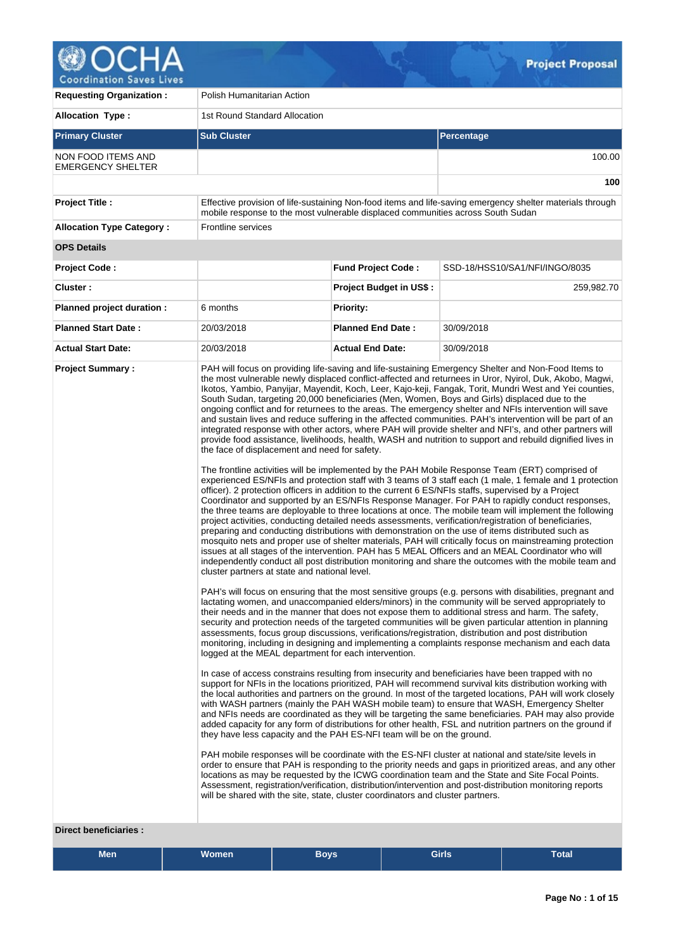

| <b>Requesting Organization:</b>                 | Polish Humanitarian Action                                                                                                                                                                                                                |                                                                                                                                                                                                                                                                                                                                                                                                                                                                                                                                                                                                                                                                                                                                                                                                                                                                                                                                                                                                                                                                                                                                                                                                                                                                                                                                                                                                                                                                                                                                                                                                                                                                                                                                                                                                                                                                                                                                                                                                                                                                                                                                                                                                                                                                                                                                                                                                                                                                                                                                                                                                                                                                                                                                                                                                                                                                                                                                                                                                                                                                                                                                                                                                                                                                                                                                                                                                                                                                                                                                                                                                                                                                                                                                                                                      |                                                                                                           |  |  |  |  |
|-------------------------------------------------|-------------------------------------------------------------------------------------------------------------------------------------------------------------------------------------------------------------------------------------------|--------------------------------------------------------------------------------------------------------------------------------------------------------------------------------------------------------------------------------------------------------------------------------------------------------------------------------------------------------------------------------------------------------------------------------------------------------------------------------------------------------------------------------------------------------------------------------------------------------------------------------------------------------------------------------------------------------------------------------------------------------------------------------------------------------------------------------------------------------------------------------------------------------------------------------------------------------------------------------------------------------------------------------------------------------------------------------------------------------------------------------------------------------------------------------------------------------------------------------------------------------------------------------------------------------------------------------------------------------------------------------------------------------------------------------------------------------------------------------------------------------------------------------------------------------------------------------------------------------------------------------------------------------------------------------------------------------------------------------------------------------------------------------------------------------------------------------------------------------------------------------------------------------------------------------------------------------------------------------------------------------------------------------------------------------------------------------------------------------------------------------------------------------------------------------------------------------------------------------------------------------------------------------------------------------------------------------------------------------------------------------------------------------------------------------------------------------------------------------------------------------------------------------------------------------------------------------------------------------------------------------------------------------------------------------------------------------------------------------------------------------------------------------------------------------------------------------------------------------------------------------------------------------------------------------------------------------------------------------------------------------------------------------------------------------------------------------------------------------------------------------------------------------------------------------------------------------------------------------------------------------------------------------------------------------------------------------------------------------------------------------------------------------------------------------------------------------------------------------------------------------------------------------------------------------------------------------------------------------------------------------------------------------------------------------------------------------------------------------------------------------------------------------------|-----------------------------------------------------------------------------------------------------------|--|--|--|--|
| <b>Allocation Type:</b>                         | 1st Round Standard Allocation                                                                                                                                                                                                             |                                                                                                                                                                                                                                                                                                                                                                                                                                                                                                                                                                                                                                                                                                                                                                                                                                                                                                                                                                                                                                                                                                                                                                                                                                                                                                                                                                                                                                                                                                                                                                                                                                                                                                                                                                                                                                                                                                                                                                                                                                                                                                                                                                                                                                                                                                                                                                                                                                                                                                                                                                                                                                                                                                                                                                                                                                                                                                                                                                                                                                                                                                                                                                                                                                                                                                                                                                                                                                                                                                                                                                                                                                                                                                                                                                                      |                                                                                                           |  |  |  |  |
| <b>Primary Cluster</b>                          | <b>Sub Cluster</b>                                                                                                                                                                                                                        |                                                                                                                                                                                                                                                                                                                                                                                                                                                                                                                                                                                                                                                                                                                                                                                                                                                                                                                                                                                                                                                                                                                                                                                                                                                                                                                                                                                                                                                                                                                                                                                                                                                                                                                                                                                                                                                                                                                                                                                                                                                                                                                                                                                                                                                                                                                                                                                                                                                                                                                                                                                                                                                                                                                                                                                                                                                                                                                                                                                                                                                                                                                                                                                                                                                                                                                                                                                                                                                                                                                                                                                                                                                                                                                                                                                      | Percentage                                                                                                |  |  |  |  |
| NON FOOD ITEMS AND<br><b>EMERGENCY SHELTER</b>  |                                                                                                                                                                                                                                           |                                                                                                                                                                                                                                                                                                                                                                                                                                                                                                                                                                                                                                                                                                                                                                                                                                                                                                                                                                                                                                                                                                                                                                                                                                                                                                                                                                                                                                                                                                                                                                                                                                                                                                                                                                                                                                                                                                                                                                                                                                                                                                                                                                                                                                                                                                                                                                                                                                                                                                                                                                                                                                                                                                                                                                                                                                                                                                                                                                                                                                                                                                                                                                                                                                                                                                                                                                                                                                                                                                                                                                                                                                                                                                                                                                                      | 100.00                                                                                                    |  |  |  |  |
|                                                 |                                                                                                                                                                                                                                           |                                                                                                                                                                                                                                                                                                                                                                                                                                                                                                                                                                                                                                                                                                                                                                                                                                                                                                                                                                                                                                                                                                                                                                                                                                                                                                                                                                                                                                                                                                                                                                                                                                                                                                                                                                                                                                                                                                                                                                                                                                                                                                                                                                                                                                                                                                                                                                                                                                                                                                                                                                                                                                                                                                                                                                                                                                                                                                                                                                                                                                                                                                                                                                                                                                                                                                                                                                                                                                                                                                                                                                                                                                                                                                                                                                                      | 100                                                                                                       |  |  |  |  |
| <b>Project Title:</b>                           | mobile response to the most vulnerable displaced communities across South Sudan                                                                                                                                                           |                                                                                                                                                                                                                                                                                                                                                                                                                                                                                                                                                                                                                                                                                                                                                                                                                                                                                                                                                                                                                                                                                                                                                                                                                                                                                                                                                                                                                                                                                                                                                                                                                                                                                                                                                                                                                                                                                                                                                                                                                                                                                                                                                                                                                                                                                                                                                                                                                                                                                                                                                                                                                                                                                                                                                                                                                                                                                                                                                                                                                                                                                                                                                                                                                                                                                                                                                                                                                                                                                                                                                                                                                                                                                                                                                                                      | Effective provision of life-sustaining Non-food items and life-saving emergency shelter materials through |  |  |  |  |
| <b>Allocation Type Category:</b>                | Frontline services                                                                                                                                                                                                                        |                                                                                                                                                                                                                                                                                                                                                                                                                                                                                                                                                                                                                                                                                                                                                                                                                                                                                                                                                                                                                                                                                                                                                                                                                                                                                                                                                                                                                                                                                                                                                                                                                                                                                                                                                                                                                                                                                                                                                                                                                                                                                                                                                                                                                                                                                                                                                                                                                                                                                                                                                                                                                                                                                                                                                                                                                                                                                                                                                                                                                                                                                                                                                                                                                                                                                                                                                                                                                                                                                                                                                                                                                                                                                                                                                                                      |                                                                                                           |  |  |  |  |
| <b>OPS Details</b>                              |                                                                                                                                                                                                                                           |                                                                                                                                                                                                                                                                                                                                                                                                                                                                                                                                                                                                                                                                                                                                                                                                                                                                                                                                                                                                                                                                                                                                                                                                                                                                                                                                                                                                                                                                                                                                                                                                                                                                                                                                                                                                                                                                                                                                                                                                                                                                                                                                                                                                                                                                                                                                                                                                                                                                                                                                                                                                                                                                                                                                                                                                                                                                                                                                                                                                                                                                                                                                                                                                                                                                                                                                                                                                                                                                                                                                                                                                                                                                                                                                                                                      |                                                                                                           |  |  |  |  |
| <b>Project Code:</b>                            |                                                                                                                                                                                                                                           | <b>Fund Project Code:</b>                                                                                                                                                                                                                                                                                                                                                                                                                                                                                                                                                                                                                                                                                                                                                                                                                                                                                                                                                                                                                                                                                                                                                                                                                                                                                                                                                                                                                                                                                                                                                                                                                                                                                                                                                                                                                                                                                                                                                                                                                                                                                                                                                                                                                                                                                                                                                                                                                                                                                                                                                                                                                                                                                                                                                                                                                                                                                                                                                                                                                                                                                                                                                                                                                                                                                                                                                                                                                                                                                                                                                                                                                                                                                                                                                            | SSD-18/HSS10/SA1/NFI/INGO/8035                                                                            |  |  |  |  |
| Cluster:                                        |                                                                                                                                                                                                                                           | <b>Project Budget in US\$:</b>                                                                                                                                                                                                                                                                                                                                                                                                                                                                                                                                                                                                                                                                                                                                                                                                                                                                                                                                                                                                                                                                                                                                                                                                                                                                                                                                                                                                                                                                                                                                                                                                                                                                                                                                                                                                                                                                                                                                                                                                                                                                                                                                                                                                                                                                                                                                                                                                                                                                                                                                                                                                                                                                                                                                                                                                                                                                                                                                                                                                                                                                                                                                                                                                                                                                                                                                                                                                                                                                                                                                                                                                                                                                                                                                                       | 259,982.70                                                                                                |  |  |  |  |
| Planned project duration :                      | 6 months                                                                                                                                                                                                                                  | Priority:                                                                                                                                                                                                                                                                                                                                                                                                                                                                                                                                                                                                                                                                                                                                                                                                                                                                                                                                                                                                                                                                                                                                                                                                                                                                                                                                                                                                                                                                                                                                                                                                                                                                                                                                                                                                                                                                                                                                                                                                                                                                                                                                                                                                                                                                                                                                                                                                                                                                                                                                                                                                                                                                                                                                                                                                                                                                                                                                                                                                                                                                                                                                                                                                                                                                                                                                                                                                                                                                                                                                                                                                                                                                                                                                                                            |                                                                                                           |  |  |  |  |
| <b>Planned Start Date:</b>                      | 20/03/2018                                                                                                                                                                                                                                | <b>Planned End Date:</b>                                                                                                                                                                                                                                                                                                                                                                                                                                                                                                                                                                                                                                                                                                                                                                                                                                                                                                                                                                                                                                                                                                                                                                                                                                                                                                                                                                                                                                                                                                                                                                                                                                                                                                                                                                                                                                                                                                                                                                                                                                                                                                                                                                                                                                                                                                                                                                                                                                                                                                                                                                                                                                                                                                                                                                                                                                                                                                                                                                                                                                                                                                                                                                                                                                                                                                                                                                                                                                                                                                                                                                                                                                                                                                                                                             | 30/09/2018                                                                                                |  |  |  |  |
| <b>Actual Start Date:</b>                       | 20/03/2018                                                                                                                                                                                                                                | <b>Actual End Date:</b>                                                                                                                                                                                                                                                                                                                                                                                                                                                                                                                                                                                                                                                                                                                                                                                                                                                                                                                                                                                                                                                                                                                                                                                                                                                                                                                                                                                                                                                                                                                                                                                                                                                                                                                                                                                                                                                                                                                                                                                                                                                                                                                                                                                                                                                                                                                                                                                                                                                                                                                                                                                                                                                                                                                                                                                                                                                                                                                                                                                                                                                                                                                                                                                                                                                                                                                                                                                                                                                                                                                                                                                                                                                                                                                                                              | 30/09/2018                                                                                                |  |  |  |  |
| <b>Project Summary:</b><br>Diroct bonoficiarios | the face of displacement and need for safety.<br>cluster partners at state and national level.<br>logged at the MEAL department for each intervention.<br>will be shared with the site, state, cluster coordinators and cluster partners. | PAH will focus on providing life-saving and life-sustaining Emergency Shelter and Non-Food Items to<br>the most vulnerable newly displaced conflict-affected and returnees in Uror, Nyirol, Duk, Akobo, Magwi,<br>Ikotos, Yambio, Panyijar, Mayendit, Koch, Leer, Kajo-keji, Fangak, Torit, Mundri West and Yei counties,<br>South Sudan, targeting 20,000 beneficiaries (Men, Women, Boys and Girls) displaced due to the<br>ongoing conflict and for returnees to the areas. The emergency shelter and NFIs intervention will save<br>and sustain lives and reduce suffering in the affected communities. PAH's intervention will be part of an<br>integrated response with other actors, where PAH will provide shelter and NFI's, and other partners will<br>provide food assistance, livelihoods, health, WASH and nutrition to support and rebuild dignified lives in<br>The frontline activities will be implemented by the PAH Mobile Response Team (ERT) comprised of<br>experienced ES/NFIs and protection staff with 3 teams of 3 staff each (1 male, 1 female and 1 protection<br>officer). 2 protection officers in addition to the current 6 ES/NFIs staffs, supervised by a Project<br>Coordinator and supported by an ES/NFIs Response Manager. For PAH to rapidly conduct responses,<br>the three teams are deployable to three locations at once. The mobile team will implement the following<br>project activities, conducting detailed needs assessments, verification/registration of beneficiaries,<br>preparing and conducting distributions with demonstration on the use of items distributed such as<br>mosquito nets and proper use of shelter materials, PAH will critically focus on mainstreaming protection<br>issues at all stages of the intervention. PAH has 5 MEAL Officers and an MEAL Coordinator who will<br>independently conduct all post distribution monitoring and share the outcomes with the mobile team and<br>PAH's will focus on ensuring that the most sensitive groups (e.g. persons with disabilities, pregnant and<br>lactating women, and unaccompanied elders/minors) in the community will be served appropriately to<br>their needs and in the manner that does not expose them to additional stress and harm. The safety,<br>security and protection needs of the targeted communities will be given particular attention in planning<br>assessments, focus group discussions, verifications/registration, distribution and post distribution<br>monitoring, including in designing and implementing a complaints response mechanism and each data<br>In case of access constrains resulting from insecurity and beneficiaries have been trapped with no<br>support for NFIs in the locations prioritized, PAH will recommend survival kits distribution working with<br>the local authorities and partners on the ground. In most of the targeted locations, PAH will work closely<br>with WASH partners (mainly the PAH WASH mobile team) to ensure that WASH, Emergency Shelter<br>and NFIs needs are coordinated as they will be targeting the same beneficiaries. PAH may also provide<br>added capacity for any form of distributions for other health, FSL and nutrition partners on the ground if<br>they have less capacity and the PAH ES-NFI team will be on the ground.<br>PAH mobile responses will be coordinate with the ES-NFI cluster at national and state/site levels in<br>order to ensure that PAH is responding to the priority needs and gaps in prioritized areas, and any other<br>locations as may be requested by the ICWG coordination team and the State and Site Focal Points.<br>Assessment, registration/verification, distribution/intervention and post-distribution monitoring reports |                                                                                                           |  |  |  |  |

### **beneficiaries :**

| Men | <b>Women</b> | Boys | Girls | Total |
|-----|--------------|------|-------|-------|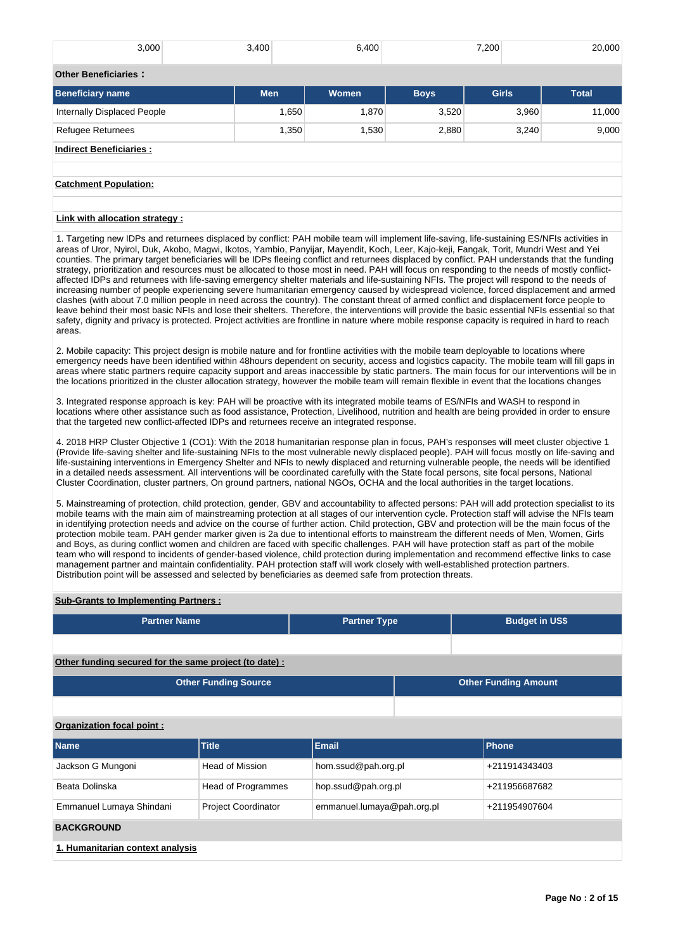| 3,000                           | 3,400 | 6,400          |             | 7,200 | 20,000       |
|---------------------------------|-------|----------------|-------------|-------|--------------|
| <b>Other Beneficiaries:</b>     |       |                |             |       |              |
| <b>Beneficiary name</b>         | Men   | <b>Women</b>   | <b>Boys</b> |       | <b>Total</b> |
| Internally Displaced People     | 1,650 | 1,870<br>3,520 |             | 3,960 | 11,000       |
| <b>Refugee Returnees</b>        | 1,350 | 1,530          | 2,880       | 3,240 | 9,000        |
| <b>Indirect Beneficiaries:</b>  |       |                |             |       |              |
|                                 |       |                |             |       |              |
| <b>Catchment Population:</b>    |       |                |             |       |              |
|                                 |       |                |             |       |              |
| Link with allocation strategy : |       |                |             |       |              |

1. Targeting new IDPs and returnees displaced by conflict: PAH mobile team will implement life-saving, life-sustaining ES/NFIs activities in areas of Uror, Nyirol, Duk, Akobo, Magwi, Ikotos, Yambio, Panyijar, Mayendit, Koch, Leer, Kajo-keji, Fangak, Torit, Mundri West and Yei counties. The primary target beneficiaries will be IDPs fleeing conflict and returnees displaced by conflict. PAH understands that the funding strategy, prioritization and resources must be allocated to those most in need. PAH will focus on responding to the needs of mostly conflictaffected IDPs and returnees with life-saving emergency shelter materials and life-sustaining NFIs. The project will respond to the needs of increasing number of people experiencing severe humanitarian emergency caused by widespread violence, forced displacement and armed clashes (with about 7.0 million people in need across the country). The constant threat of armed conflict and displacement force people to leave behind their most basic NFIs and lose their shelters. Therefore, the interventions will provide the basic essential NFIs essential so that safety, dignity and privacy is protected. Project activities are frontline in nature where mobile response capacity is required in hard to reach areas.

2. Mobile capacity: This project design is mobile nature and for frontline activities with the mobile team deployable to locations where emergency needs have been identified within 48hours dependent on security, access and logistics capacity. The mobile team will fill gaps in areas where static partners require capacity support and areas inaccessible by static partners. The main focus for our interventions will be in the locations prioritized in the cluster allocation strategy, however the mobile team will remain flexible in event that the locations changes

3. Integrated response approach is key: PAH will be proactive with its integrated mobile teams of ES/NFIs and WASH to respond in locations where other assistance such as food assistance, Protection, Livelihood, nutrition and health are being provided in order to ensure that the targeted new conflict-affected IDPs and returnees receive an integrated response.

4. 2018 HRP Cluster Objective 1 (CO1): With the 2018 humanitarian response plan in focus, PAH's responses will meet cluster objective 1 (Provide life-saving shelter and life-sustaining NFIs to the most vulnerable newly displaced people). PAH will focus mostly on life-saving and life-sustaining interventions in Emergency Shelter and NFIs to newly displaced and returning vulnerable people, the needs will be identified in a detailed needs assessment. All interventions will be coordinated carefully with the State focal persons, site focal persons, National Cluster Coordination, cluster partners, On ground partners, national NGOs, OCHA and the local authorities in the target locations.

5. Mainstreaming of protection, child protection, gender, GBV and accountability to affected persons: PAH will add protection specialist to its mobile teams with the main aim of mainstreaming protection at all stages of our intervention cycle. Protection staff will advise the NFIs team in identifying protection needs and advice on the course of further action. Child protection, GBV and protection will be the main focus of the protection mobile team. PAH gender marker given is 2a due to intentional efforts to mainstream the different needs of Men, Women, Girls and Boys, as during conflict women and children are faced with specific challenges. PAH will have protection staff as part of the mobile team who will respond to incidents of gender-based violence, child protection during implementation and recommend effective links to case management partner and maintain confidentiality. PAH protection staff will work closely with well-established protection partners. Distribution point will be assessed and selected by beneficiaries as deemed safe from protection threats.

### **Sub-Grants to Implementing Partners :**

| <b>Partner Name</b>                                    | <b>Partner Type</b> | <b>Budget in US\$</b> |
|--------------------------------------------------------|---------------------|-----------------------|
|                                                        |                     |                       |
| Other funding secured for the same project (to date) : |                     |                       |

| Other Funding Source | <b>Other Funding Amount</b> |
|----------------------|-----------------------------|
|                      |                             |

### **Organization focal point :**

| <b>Name</b>                      | <b>Title</b>               | <b>Email</b>               | Phone         |  |  |  |  |  |
|----------------------------------|----------------------------|----------------------------|---------------|--|--|--|--|--|
| Jackson G Mungoni                | Head of Mission            | hom.ssud@pah.org.pl        | +211914343403 |  |  |  |  |  |
| Beata Dolinska                   | Head of Programmes         | hop.ssud@pah.org.pl        | +211956687682 |  |  |  |  |  |
| Emmanuel Lumaya Shindani         | <b>Project Coordinator</b> | emmanuel.lumaya@pah.org.pl | +211954907604 |  |  |  |  |  |
| <b>BACKGROUND</b>                |                            |                            |               |  |  |  |  |  |
| 1. Humanitarian context analysis |                            |                            |               |  |  |  |  |  |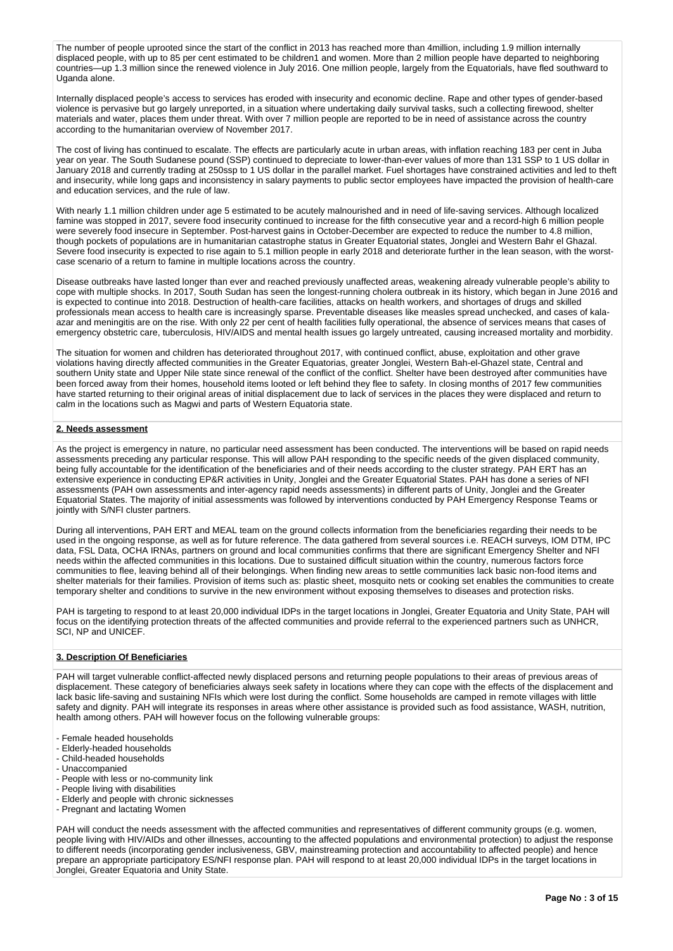The number of people uprooted since the start of the conflict in 2013 has reached more than 4million, including 1.9 million internally displaced people, with up to 85 per cent estimated to be children1 and women. More than 2 million people have departed to neighboring countries—up 1.3 million since the renewed violence in July 2016. One million people, largely from the Equatorials, have fled southward to Uganda alone.

Internally displaced people's access to services has eroded with insecurity and economic decline. Rape and other types of gender-based violence is pervasive but go largely unreported, in a situation where undertaking daily survival tasks, such a collecting firewood, shelter materials and water, places them under threat. With over 7 million people are reported to be in need of assistance across the country according to the humanitarian overview of November 2017.

The cost of living has continued to escalate. The effects are particularly acute in urban areas, with inflation reaching 183 per cent in Juba year on year. The South Sudanese pound (SSP) continued to depreciate to lower-than-ever values of more than 131 SSP to 1 US dollar in January 2018 and currently trading at 250ssp to 1 US dollar in the parallel market. Fuel shortages have constrained activities and led to theft and insecurity, while long gaps and inconsistency in salary payments to public sector employees have impacted the provision of health-care and education services, and the rule of law.

With nearly 1.1 million children under age 5 estimated to be acutely malnourished and in need of life-saving services. Although localized famine was stopped in 2017, severe food insecurity continued to increase for the fifth consecutive year and a record-high 6 million people were severely food insecure in September. Post-harvest gains in October-December are expected to reduce the number to 4.8 million, though pockets of populations are in humanitarian catastrophe status in Greater Equatorial states, Jonglei and Western Bahr el Ghazal. Severe food insecurity is expected to rise again to 5.1 million people in early 2018 and deteriorate further in the lean season, with the worstcase scenario of a return to famine in multiple locations across the country.

Disease outbreaks have lasted longer than ever and reached previously unaffected areas, weakening already vulnerable people's ability to cope with multiple shocks. In 2017, South Sudan has seen the longest-running cholera outbreak in its history, which began in June 2016 and is expected to continue into 2018. Destruction of health-care facilities, attacks on health workers, and shortages of drugs and skilled professionals mean access to health care is increasingly sparse. Preventable diseases like measles spread unchecked, and cases of kalaazar and meningitis are on the rise. With only 22 per cent of health facilities fully operational, the absence of services means that cases of emergency obstetric care, tuberculosis, HIV/AIDS and mental health issues go largely untreated, causing increased mortality and morbidity.

The situation for women and children has deteriorated throughout 2017, with continued conflict, abuse, exploitation and other grave violations having directly affected communities in the Greater Equatorias, greater Jonglei, Western Bah-el-Ghazel state, Central and southern Unity state and Upper Nile state since renewal of the conflict of the conflict. Shelter have been destroyed after communities have been forced away from their homes, household items looted or left behind they flee to safety. In closing months of 2017 few communities have started returning to their original areas of initial displacement due to lack of services in the places they were displaced and return to calm in the locations such as Magwi and parts of Western Equatoria state.

### **2. Needs assessment**

As the project is emergency in nature, no particular need assessment has been conducted. The interventions will be based on rapid needs assessments preceding any particular response. This will allow PAH responding to the specific needs of the given displaced community, being fully accountable for the identification of the beneficiaries and of their needs according to the cluster strategy. PAH ERT has an extensive experience in conducting EP&R activities in Unity, Jonglei and the Greater Equatorial States. PAH has done a series of NFI assessments (PAH own assessments and inter-agency rapid needs assessments) in different parts of Unity, Jonglei and the Greater Equatorial States. The majority of initial assessments was followed by interventions conducted by PAH Emergency Response Teams or jointly with S/NFI cluster partners.

During all interventions, PAH ERT and MEAL team on the ground collects information from the beneficiaries regarding their needs to be used in the ongoing response, as well as for future reference. The data gathered from several sources i.e. REACH surveys, IOM DTM, IPC data, FSL Data, OCHA IRNAs, partners on ground and local communities confirms that there are significant Emergency Shelter and NFI needs within the affected communities in this locations. Due to sustained difficult situation within the country, numerous factors force communities to flee, leaving behind all of their belongings. When finding new areas to settle communities lack basic non-food items and shelter materials for their families. Provision of items such as: plastic sheet, mosquito nets or cooking set enables the communities to create temporary shelter and conditions to survive in the new environment without exposing themselves to diseases and protection risks.

PAH is targeting to respond to at least 20,000 individual IDPs in the target locations in Jonglei, Greater Equatoria and Unity State, PAH will focus on the identifying protection threats of the affected communities and provide referral to the experienced partners such as UNHCR, SCI, NP and UNICEF.

### **3. Description Of Beneficiaries**

PAH will target vulnerable conflict-affected newly displaced persons and returning people populations to their areas of previous areas of displacement. These category of beneficiaries always seek safety in locations where they can cope with the effects of the displacement and lack basic life-saving and sustaining NFIs which were lost during the conflict. Some households are camped in remote villages with little safety and dignity. PAH will integrate its responses in areas where other assistance is provided such as food assistance, WASH, nutrition, health among others. PAH will however focus on the following vulnerable groups:

- Female headed households
- Elderly-headed households
- Child-headed households
- Unaccompanied
- People with less or no-community link
- People living with disabilities
- Elderly and people with chronic sicknesses
- Pregnant and lactating Women

PAH will conduct the needs assessment with the affected communities and representatives of different community groups (e.g. women, people living with HIV/AIDs and other illnesses, accounting to the affected populations and environmental protection) to adjust the response to different needs (incorporating gender inclusiveness, GBV, mainstreaming protection and accountability to affected people) and hence prepare an appropriate participatory ES/NFI response plan. PAH will respond to at least 20,000 individual IDPs in the target locations in Jonglei, Greater Equatoria and Unity State.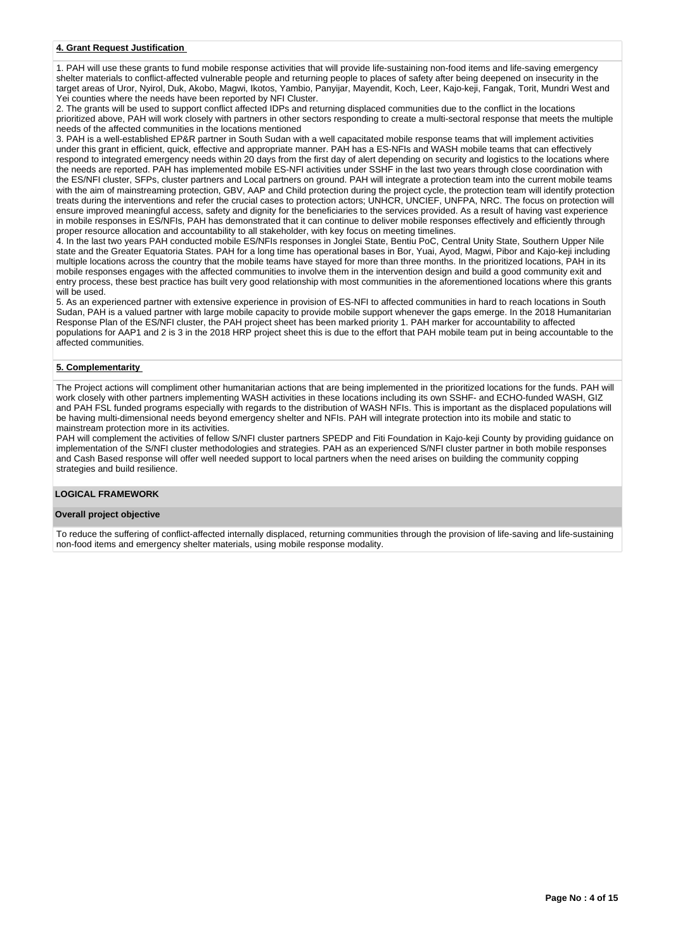### **4. Grant Request Justification**

1. PAH will use these grants to fund mobile response activities that will provide life-sustaining non-food items and life-saving emergency shelter materials to conflict-affected vulnerable people and returning people to places of safety after being deepened on insecurity in the target areas of Uror, Nyirol, Duk, Akobo, Magwi, Ikotos, Yambio, Panyijar, Mayendit, Koch, Leer, Kajo-keji, Fangak, Torit, Mundri West and Yei counties where the needs have been reported by NFI Cluster.

2. The grants will be used to support conflict affected IDPs and returning displaced communities due to the conflict in the locations prioritized above, PAH will work closely with partners in other sectors responding to create a multi-sectoral response that meets the multiple needs of the affected communities in the locations mentioned

3. PAH is a well-established EP&R partner in South Sudan with a well capacitated mobile response teams that will implement activities under this grant in efficient, quick, effective and appropriate manner. PAH has a ES-NFIs and WASH mobile teams that can effectively respond to integrated emergency needs within 20 days from the first day of alert depending on security and logistics to the locations where the needs are reported. PAH has implemented mobile ES-NFI activities under SSHF in the last two years through close coordination with the ES/NFI cluster, SFPs, cluster partners and Local partners on ground. PAH will integrate a protection team into the current mobile teams with the aim of mainstreaming protection, GBV, AAP and Child protection during the project cycle, the protection team will identify protection treats during the interventions and refer the crucial cases to protection actors; UNHCR, UNCIEF, UNFPA, NRC. The focus on protection will ensure improved meaningful access, safety and dignity for the beneficiaries to the services provided. As a result of having vast experience in mobile responses in ES/NFIs, PAH has demonstrated that it can continue to deliver mobile responses effectively and efficiently through proper resource allocation and accountability to all stakeholder, with key focus on meeting timelines.

4. In the last two years PAH conducted mobile ES/NFIs responses in Jonglei State, Bentiu PoC, Central Unity State, Southern Upper Nile state and the Greater Equatoria States. PAH for a long time has operational bases in Bor, Yuai, Ayod, Magwi, Pibor and Kajo-keji including multiple locations across the country that the mobile teams have stayed for more than three months. In the prioritized locations, PAH in its mobile responses engages with the affected communities to involve them in the intervention design and build a good community exit and entry process, these best practice has built very good relationship with most communities in the aforementioned locations where this grants will be used.

5. As an experienced partner with extensive experience in provision of ES-NFI to affected communities in hard to reach locations in South Sudan, PAH is a valued partner with large mobile capacity to provide mobile support whenever the gaps emerge. In the 2018 Humanitarian Response Plan of the ES/NFI cluster, the PAH project sheet has been marked priority 1. PAH marker for accountability to affected populations for AAP1 and 2 is 3 in the 2018 HRP project sheet this is due to the effort that PAH mobile team put in being accountable to the affected communities.

### **5. Complementarity**

The Project actions will compliment other humanitarian actions that are being implemented in the prioritized locations for the funds. PAH will work closely with other partners implementing WASH activities in these locations including its own SSHF- and ECHO-funded WASH, GIZ and PAH FSL funded programs especially with regards to the distribution of WASH NFIs. This is important as the displaced populations will be having multi-dimensional needs beyond emergency shelter and NFIs. PAH will integrate protection into its mobile and static to mainstream protection more in its activities.

PAH will complement the activities of fellow S/NFI cluster partners SPEDP and Fiti Foundation in Kajo-keji County by providing guidance on implementation of the S/NFI cluster methodologies and strategies. PAH as an experienced S/NFI cluster partner in both mobile responses and Cash Based response will offer well needed support to local partners when the need arises on building the community copping strategies and build resilience.

### **LOGICAL FRAMEWORK**

### **Overall project objective**

To reduce the suffering of conflict-affected internally displaced, returning communities through the provision of life-saving and life-sustaining non-food items and emergency shelter materials, using mobile response modality.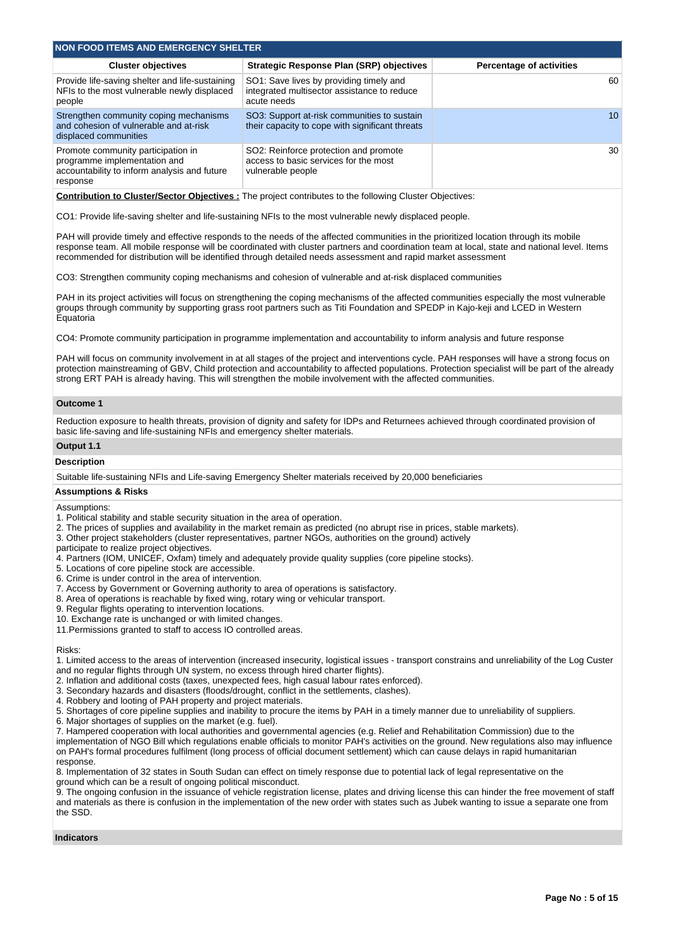| <b>NON FOOD ITEMS AND EMERGENCY SHELTER</b>                                                                                    |                                                                                                       |                                 |  |  |  |  |  |  |  |
|--------------------------------------------------------------------------------------------------------------------------------|-------------------------------------------------------------------------------------------------------|---------------------------------|--|--|--|--|--|--|--|
| <b>Cluster objectives</b>                                                                                                      | Strategic Response Plan (SRP) objectives                                                              | <b>Percentage of activities</b> |  |  |  |  |  |  |  |
| Provide life-saving shelter and life-sustaining<br>NFIs to the most vulnerable newly displaced<br>people                       | SO1: Save lives by providing timely and<br>integrated multisector assistance to reduce<br>acute needs | 60                              |  |  |  |  |  |  |  |
| Strengthen community coping mechanisms<br>and cohesion of vulnerable and at-risk<br>displaced communities                      | SO3: Support at-risk communities to sustain<br>their capacity to cope with significant threats        | 10 <sup>°</sup>                 |  |  |  |  |  |  |  |
| Promote community participation in<br>programme implementation and<br>accountability to inform analysis and future<br>response | SO2: Reinforce protection and promote<br>access to basic services for the most<br>vulnerable people   | 30                              |  |  |  |  |  |  |  |

**Contribution to Cluster/Sector Objectives :** The project contributes to the following Cluster Objectives:

CO1: Provide life-saving shelter and life-sustaining NFIs to the most vulnerable newly displaced people.

PAH will provide timely and effective responds to the needs of the affected communities in the prioritized location through its mobile response team. All mobile response will be coordinated with cluster partners and coordination team at local, state and national level. Items recommended for distribution will be identified through detailed needs assessment and rapid market assessment

CO3: Strengthen community coping mechanisms and cohesion of vulnerable and at-risk displaced communities

PAH in its project activities will focus on strengthening the coping mechanisms of the affected communities especially the most vulnerable groups through community by supporting grass root partners such as Titi Foundation and SPEDP in Kajo-keji and LCED in Western Equatoria

CO4: Promote community participation in programme implementation and accountability to inform analysis and future response

PAH will focus on community involvement in at all stages of the project and interventions cycle. PAH responses will have a strong focus on protection mainstreaming of GBV, Child protection and accountability to affected populations. Protection specialist will be part of the already strong ERT PAH is already having. This will strengthen the mobile involvement with the affected communities.

#### **Outcome 1**

Reduction exposure to health threats, provision of dignity and safety for IDPs and Returnees achieved through coordinated provision of basic life-saving and life-sustaining NFIs and emergency shelter materials.

### **Output 1.1**

### **Description**

Suitable life-sustaining NFIs and Life-saving Emergency Shelter materials received by 20,000 beneficiaries

#### **Assumptions & Risks**

Assumptions:

- 1. Political stability and stable security situation in the area of operation.
- 2. The prices of supplies and availability in the market remain as predicted (no abrupt rise in prices, stable markets).
- 3. Other project stakeholders (cluster representatives, partner NGOs, authorities on the ground) actively
- participate to realize project objectives.
- 4. Partners (IOM, UNICEF, Oxfam) timely and adequately provide quality supplies (core pipeline stocks).
- 5. Locations of core pipeline stock are accessible.
- 6. Crime is under control in the area of intervention.
- 7. Access by Government or Governing authority to area of operations is satisfactory.
- 8. Area of operations is reachable by fixed wing, rotary wing or vehicular transport.
- 9. Regular flights operating to intervention locations.
- 10. Exchange rate is unchanged or with limited changes.
- 11.Permissions granted to staff to access IO controlled areas.

#### Risks:

1. Limited access to the areas of intervention (increased insecurity, logistical issues - transport constrains and unreliability of the Log Custer and no regular flights through UN system, no excess through hired charter flights).

- 2. Inflation and additional costs (taxes, unexpected fees, high casual labour rates enforced).
- 3. Secondary hazards and disasters (floods/drought, conflict in the settlements, clashes).
- 4. Robbery and looting of PAH property and project materials.
- 5. Shortages of core pipeline supplies and inability to procure the items by PAH in a timely manner due to unreliability of suppliers.
- 6. Major shortages of supplies on the market (e.g. fuel).
- 7. Hampered cooperation with local authorities and governmental agencies (e.g. Relief and Rehabilitation Commission) due to the implementation of NGO Bill which regulations enable officials to monitor PAH's activities on the ground. New regulations also may influence on PAH's formal procedures fulfilment (long process of official document settlement) which can cause delays in rapid humanitarian response.

8. Implementation of 32 states in South Sudan can effect on timely response due to potential lack of legal representative on the ground which can be a result of ongoing political misconduct.

9. The ongoing confusion in the issuance of vehicle registration license, plates and driving license this can hinder the free movement of staff and materials as there is confusion in the implementation of the new order with states such as Jubek wanting to issue a separate one from the SSD.

#### **Indicators**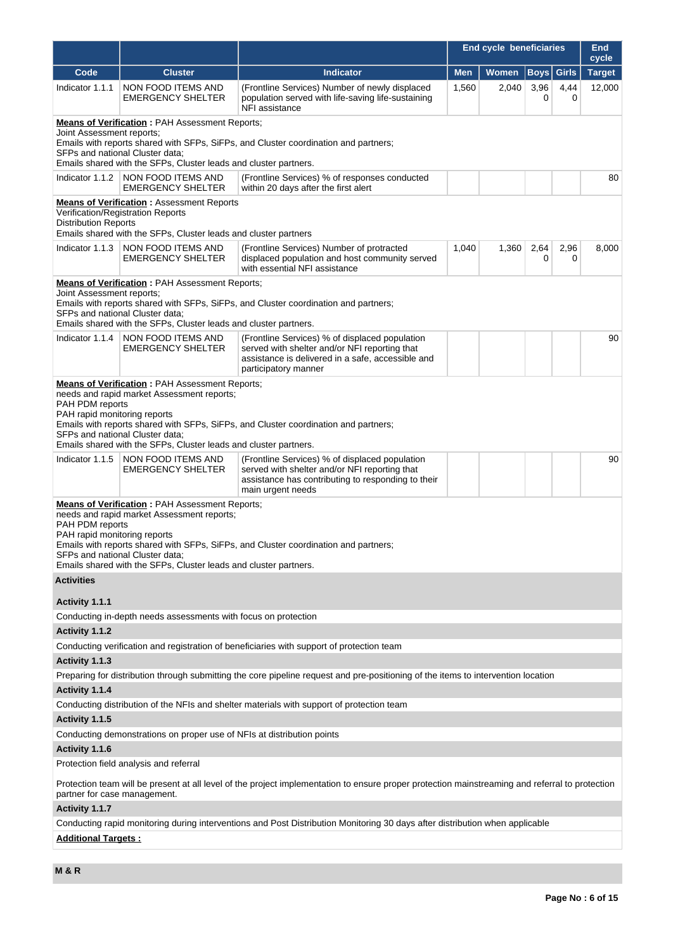|                                                                                                                                                                                                                                                                                                                                                      |                                                                                                                           |                                                                                                                                                                              | End cycle beneficiaries |       |             |              | <b>End</b><br>cycle |  |  |
|------------------------------------------------------------------------------------------------------------------------------------------------------------------------------------------------------------------------------------------------------------------------------------------------------------------------------------------------------|---------------------------------------------------------------------------------------------------------------------------|------------------------------------------------------------------------------------------------------------------------------------------------------------------------------|-------------------------|-------|-------------|--------------|---------------------|--|--|
| Code                                                                                                                                                                                                                                                                                                                                                 | <b>Cluster</b>                                                                                                            | <b>Indicator</b>                                                                                                                                                             | <b>Men</b>              | Women | <b>Boys</b> | <b>Girls</b> | <b>Target</b>       |  |  |
| Indicator 1.1.1                                                                                                                                                                                                                                                                                                                                      | NON FOOD ITEMS AND<br><b>EMERGENCY SHELTER</b>                                                                            | (Frontline Services) Number of newly displaced<br>population served with life-saving life-sustaining<br>NFI assistance                                                       | 1,560                   | 2,040 | 3,96<br>0   | 4,44<br>0    | 12,000              |  |  |
| <b>Means of Verification: PAH Assessment Reports;</b><br>Joint Assessment reports;<br>Emails with reports shared with SFPs, SiFPs, and Cluster coordination and partners;<br>SFPs and national Cluster data;<br>Emails shared with the SFPs, Cluster leads and cluster partners.                                                                     |                                                                                                                           |                                                                                                                                                                              |                         |       |             |              |                     |  |  |
| Indicator 1.1.2                                                                                                                                                                                                                                                                                                                                      | NON FOOD ITEMS AND<br><b>EMERGENCY SHELTER</b>                                                                            | (Frontline Services) % of responses conducted<br>within 20 days after the first alert                                                                                        |                         |       |             |              | 80                  |  |  |
| Verification/Registration Reports<br><b>Distribution Reports</b>                                                                                                                                                                                                                                                                                     | <b>Means of Verification: Assessment Reports</b><br>Emails shared with the SFPs, Cluster leads and cluster partners       |                                                                                                                                                                              |                         |       |             |              |                     |  |  |
| Indicator 1.1.3                                                                                                                                                                                                                                                                                                                                      | NON FOOD ITEMS AND<br><b>EMERGENCY SHELTER</b>                                                                            | (Frontline Services) Number of protracted<br>displaced population and host community served<br>with essential NFI assistance                                                 | 1,040                   | 1,360 | 2,64<br>0   | 2,96<br>0    | 8,000               |  |  |
| Joint Assessment reports;<br>SFPs and national Cluster data;                                                                                                                                                                                                                                                                                         | <b>Means of Verification: PAH Assessment Reports;</b><br>Emails shared with the SFPs, Cluster leads and cluster partners. | Emails with reports shared with SFPs, SiFPs, and Cluster coordination and partners;                                                                                          |                         |       |             |              |                     |  |  |
| Indicator 1.1.4                                                                                                                                                                                                                                                                                                                                      | NON FOOD ITEMS AND<br><b>EMERGENCY SHELTER</b>                                                                            | (Frontline Services) % of displaced population<br>served with shelter and/or NFI reporting that<br>assistance is delivered in a safe, accessible and<br>participatory manner |                         |       |             |              | 90                  |  |  |
| <b>Means of Verification: PAH Assessment Reports;</b><br>needs and rapid market Assessment reports;<br>PAH PDM reports<br>PAH rapid monitoring reports<br>Emails with reports shared with SFPs, SiFPs, and Cluster coordination and partners;<br>SFPs and national Cluster data;<br>Emails shared with the SFPs, Cluster leads and cluster partners. |                                                                                                                           |                                                                                                                                                                              |                         |       |             |              |                     |  |  |
| Indicator 1.1.5                                                                                                                                                                                                                                                                                                                                      | NON FOOD ITEMS AND<br><b>EMERGENCY SHELTER</b>                                                                            | (Frontline Services) % of displaced population<br>served with shelter and/or NFI reporting that<br>assistance has contributing to responding to their<br>main urgent needs   |                         |       |             |              | 90                  |  |  |
| <b>Means of Verification: PAH Assessment Reports;</b><br>needs and rapid market Assessment reports;<br>PAH PDM reports<br>PAH rapid monitoring reports<br>Emails with reports shared with SFPs, SiFPs, and Cluster coordination and partners;<br>SFPs and national Cluster data;<br>Emails shared with the SFPs, Cluster leads and cluster partners. |                                                                                                                           |                                                                                                                                                                              |                         |       |             |              |                     |  |  |
| <b>Activities</b>                                                                                                                                                                                                                                                                                                                                    |                                                                                                                           |                                                                                                                                                                              |                         |       |             |              |                     |  |  |
| Activity 1.1.1                                                                                                                                                                                                                                                                                                                                       | Conducting in-depth needs assessments with focus on protection                                                            |                                                                                                                                                                              |                         |       |             |              |                     |  |  |
| Activity 1.1.2                                                                                                                                                                                                                                                                                                                                       |                                                                                                                           |                                                                                                                                                                              |                         |       |             |              |                     |  |  |
|                                                                                                                                                                                                                                                                                                                                                      |                                                                                                                           | Conducting verification and registration of beneficiaries with support of protection team                                                                                    |                         |       |             |              |                     |  |  |
| Activity 1.1.3                                                                                                                                                                                                                                                                                                                                       |                                                                                                                           |                                                                                                                                                                              |                         |       |             |              |                     |  |  |
|                                                                                                                                                                                                                                                                                                                                                      |                                                                                                                           | Preparing for distribution through submitting the core pipeline request and pre-positioning of the items to intervention location                                            |                         |       |             |              |                     |  |  |
| Activity 1.1.4                                                                                                                                                                                                                                                                                                                                       |                                                                                                                           |                                                                                                                                                                              |                         |       |             |              |                     |  |  |
|                                                                                                                                                                                                                                                                                                                                                      |                                                                                                                           | Conducting distribution of the NFIs and shelter materials with support of protection team                                                                                    |                         |       |             |              |                     |  |  |
| Activity 1.1.5                                                                                                                                                                                                                                                                                                                                       |                                                                                                                           |                                                                                                                                                                              |                         |       |             |              |                     |  |  |
| Activity 1.1.6                                                                                                                                                                                                                                                                                                                                       | Conducting demonstrations on proper use of NFIs at distribution points                                                    |                                                                                                                                                                              |                         |       |             |              |                     |  |  |
|                                                                                                                                                                                                                                                                                                                                                      | Protection field analysis and referral                                                                                    |                                                                                                                                                                              |                         |       |             |              |                     |  |  |
| partner for case management.                                                                                                                                                                                                                                                                                                                         |                                                                                                                           | Protection team will be present at all level of the project implementation to ensure proper protection mainstreaming and referral to protection                              |                         |       |             |              |                     |  |  |
| Activity 1.1.7                                                                                                                                                                                                                                                                                                                                       |                                                                                                                           |                                                                                                                                                                              |                         |       |             |              |                     |  |  |
|                                                                                                                                                                                                                                                                                                                                                      |                                                                                                                           | Conducting rapid monitoring during interventions and Post Distribution Monitoring 30 days after distribution when applicable                                                 |                         |       |             |              |                     |  |  |
| <b>Additional Targets:</b>                                                                                                                                                                                                                                                                                                                           |                                                                                                                           |                                                                                                                                                                              |                         |       |             |              |                     |  |  |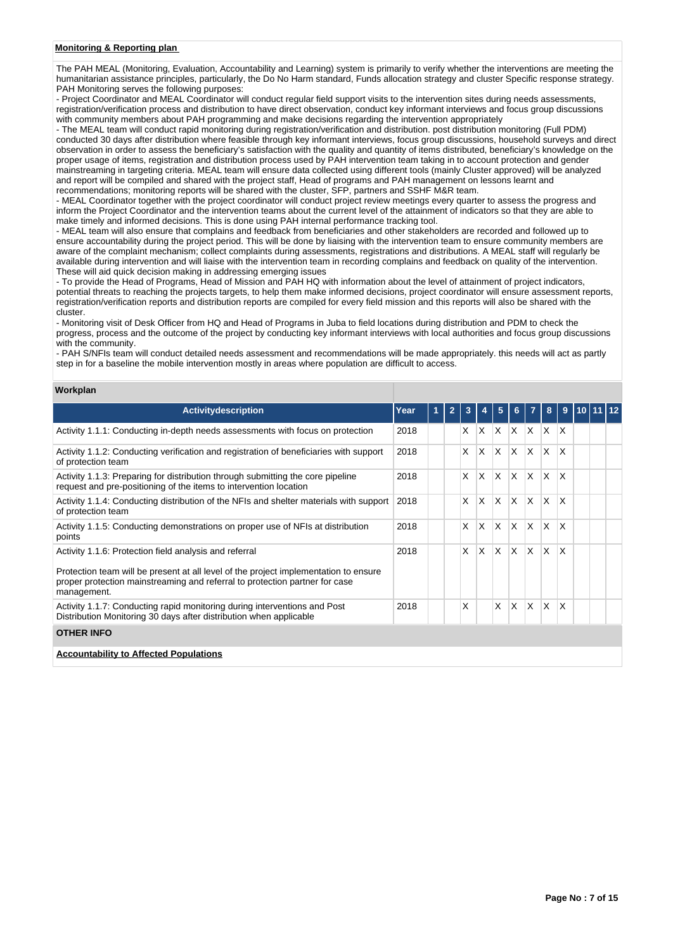### **Monitoring & Reporting plan**

The PAH MEAL (Monitoring, Evaluation, Accountability and Learning) system is primarily to verify whether the interventions are meeting the humanitarian assistance principles, particularly, the Do No Harm standard, Funds allocation strategy and cluster Specific response strategy. PAH Monitoring serves the following purposes:

- Project Coordinator and MEAL Coordinator will conduct regular field support visits to the intervention sites during needs assessments, registration/verification process and distribution to have direct observation, conduct key informant interviews and focus group discussions with community members about PAH programming and make decisions regarding the intervention appropriately

- The MEAL team will conduct rapid monitoring during registration/verification and distribution. post distribution monitoring (Full PDM) conducted 30 days after distribution where feasible through key informant interviews, focus group discussions, household surveys and direct observation in order to assess the beneficiary's satisfaction with the quality and quantity of items distributed, beneficiary's knowledge on the proper usage of items, registration and distribution process used by PAH intervention team taking in to account protection and gender mainstreaming in targeting criteria. MEAL team will ensure data collected using different tools (mainly Cluster approved) will be analyzed and report will be compiled and shared with the project staff, Head of programs and PAH management on lessons learnt and recommendations; monitoring reports will be shared with the cluster, SFP, partners and SSHF M&R team.

- MEAL Coordinator together with the project coordinator will conduct project review meetings every quarter to assess the progress and inform the Project Coordinator and the intervention teams about the current level of the attainment of indicators so that they are able to make timely and informed decisions. This is done using PAH internal performance tracking tool.

- MEAL team will also ensure that complains and feedback from beneficiaries and other stakeholders are recorded and followed up to ensure accountability during the project period. This will be done by liaising with the intervention team to ensure community members are aware of the complaint mechanism; collect complaints during assessments, registrations and distributions. A MEAL staff will regularly be available during intervention and will liaise with the intervention team in recording complains and feedback on quality of the intervention. These will aid quick decision making in addressing emerging issues

- To provide the Head of Programs, Head of Mission and PAH HQ with information about the level of attainment of project indicators, potential threats to reaching the projects targets, to help them make informed decisions, project coordinator will ensure assessment reports, registration/verification reports and distribution reports are compiled for every field mission and this reports will also be shared with the cluster.

- Monitoring visit of Desk Officer from HQ and Head of Programs in Juba to field locations during distribution and PDM to check the progress, process and the outcome of the project by conducting key informant interviews with local authorities and focus group discussions with the community.

- PAH S/NFIs team will conduct detailed needs assessment and recommendations will be made appropriately. this needs will act as partly step in for a baseline the mobile intervention mostly in areas where population are difficult to access.

|  | Workplan |  |
|--|----------|--|
|  |          |  |

| <b>Activitydescription</b>                                                                                                                                                         | Year | $\overline{2}$ | 3 |              | 5            | 6            | 7   | 8                       | 9            | 10 |  |
|------------------------------------------------------------------------------------------------------------------------------------------------------------------------------------|------|----------------|---|--------------|--------------|--------------|-----|-------------------------|--------------|----|--|
| Activity 1.1.1: Conducting in-depth needs assessments with focus on protection                                                                                                     | 2018 |                | X | <b>X</b>     | $\times$     | $\times$     | ΙX  | $\mathsf{I} \mathsf{X}$ | $\mathsf{x}$ |    |  |
| Activity 1.1.2: Conducting verification and registration of beneficiaries with support<br>of protection team                                                                       | 2018 |                | X | X            | X            | $\mathsf{x}$ | ΙX. | ΙX.                     | X            |    |  |
| Activity 1.1.3: Preparing for distribution through submitting the core pipeline<br>request and pre-positioning of the items to intervention location                               | 2018 |                | X | X            | $\mathsf{x}$ | $\mathsf{x}$ | X   | X.                      | X            |    |  |
| Activity 1.1.4: Conducting distribution of the NFIs and shelter materials with support<br>of protection team                                                                       | 2018 |                | X | $\mathsf{x}$ | $\times$     | $\mathsf{x}$ | ΙX. | ΙX.                     | X            |    |  |
| Activity 1.1.5: Conducting demonstrations on proper use of NFIs at distribution<br>points                                                                                          | 2018 |                | X | X            | X            | $\times$     | X   | ΙX.                     | X            |    |  |
| Activity 1.1.6: Protection field analysis and referral                                                                                                                             | 2018 |                | X | X            | $\mathsf{x}$ | X            | X   | X.                      | X            |    |  |
| Protection team will be present at all level of the project implementation to ensure<br>proper protection mainstreaming and referral to protection partner for case<br>management. |      |                |   |              |              |              |     |                         |              |    |  |
| Activity 1.1.7: Conducting rapid monitoring during interventions and Post<br>Distribution Monitoring 30 days after distribution when applicable                                    | 2018 |                | X |              | X            | X            | X   | ΙX.                     | X            |    |  |
| <b>OTHER INFO</b>                                                                                                                                                                  |      |                |   |              |              |              |     |                         |              |    |  |

**Accountability to Affected Populations**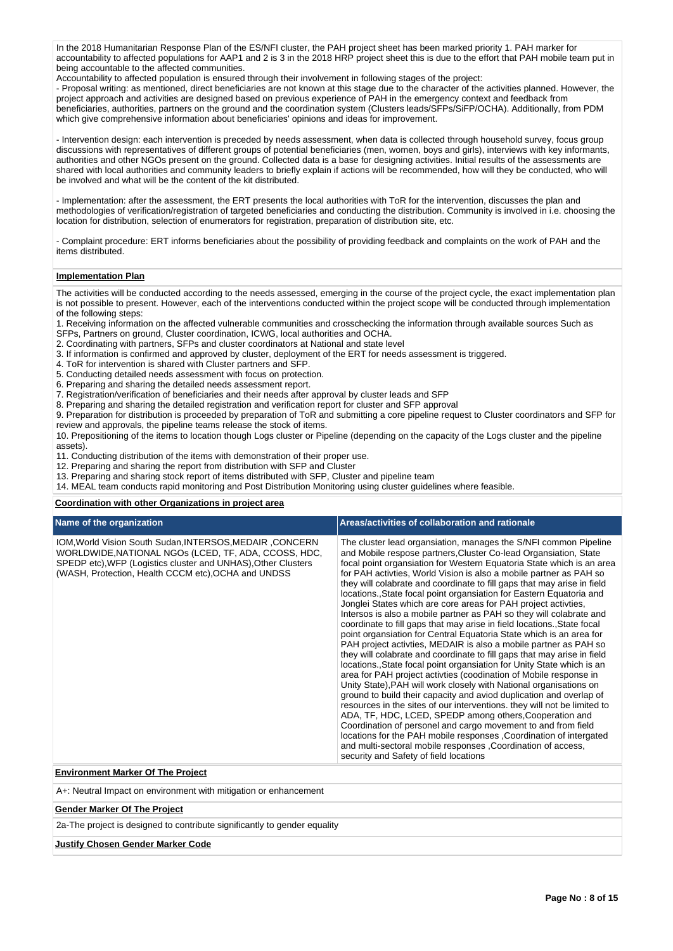In the 2018 Humanitarian Response Plan of the ES/NFI cluster, the PAH project sheet has been marked priority 1. PAH marker for accountability to affected populations for AAP1 and 2 is 3 in the 2018 HRP project sheet this is due to the effort that PAH mobile team put in being accountable to the affected communities.

Accountability to affected population is ensured through their involvement in following stages of the project:

- Proposal writing: as mentioned, direct beneficiaries are not known at this stage due to the character of the activities planned. However, the project approach and activities are designed based on previous experience of PAH in the emergency context and feedback from beneficiaries, authorities, partners on the ground and the coordination system (Clusters leads/SFPs/SiFP/OCHA). Additionally, from PDM which give comprehensive information about beneficiaries' opinions and ideas for improvement.

- Intervention design: each intervention is preceded by needs assessment, when data is collected through household survey, focus group discussions with representatives of different groups of potential beneficiaries (men, women, boys and girls), interviews with key informants, authorities and other NGOs present on the ground. Collected data is a base for designing activities. Initial results of the assessments are shared with local authorities and community leaders to briefly explain if actions will be recommended, how will they be conducted, who will be involved and what will be the content of the kit distributed.

- Implementation: after the assessment, the ERT presents the local authorities with ToR for the intervention, discusses the plan and methodologies of verification/registration of targeted beneficiaries and conducting the distribution. Community is involved in i.e. choosing the location for distribution, selection of enumerators for registration, preparation of distribution site, etc.

- Complaint procedure: ERT informs beneficiaries about the possibility of providing feedback and complaints on the work of PAH and the items distributed.

# **Implementation Plan**

The activities will be conducted according to the needs assessed, emerging in the course of the project cycle, the exact implementation plan is not possible to present. However, each of the interventions conducted within the project scope will be conducted through implementation of the following steps:

1. Receiving information on the affected vulnerable communities and crosschecking the information through available sources Such as

- SFPs, Partners on ground, Cluster coordination, ICWG, local authorities and OCHA.
- 2. Coordinating with partners, SFPs and cluster coordinators at National and state level
- 3. If information is confirmed and approved by cluster, deployment of the ERT for needs assessment is triggered.
- 4. ToR for intervention is shared with Cluster partners and SFP.
- 5. Conducting detailed needs assessment with focus on protection.
- 6. Preparing and sharing the detailed needs assessment report.
- 7. Registration/verification of beneficiaries and their needs after approval by cluster leads and SFP

8. Preparing and sharing the detailed registration and verification report for cluster and SFP approval

9. Preparation for distribution is proceeded by preparation of ToR and submitting a core pipeline request to Cluster coordinators and SFP for review and approvals, the pipeline teams release the stock of items.

10. Prepositioning of the items to location though Logs cluster or Pipeline (depending on the capacity of the Logs cluster and the pipeline assets).

11. Conducting distribution of the items with demonstration of their proper use.

12. Preparing and sharing the report from distribution with SFP and Cluster

13. Preparing and sharing stock report of items distributed with SFP, Cluster and pipeline team

14. MEAL team conducts rapid monitoring and Post Distribution Monitoring using cluster guidelines where feasible.

### **Coordination with other Organizations in project area**

| Name of the organization                                                                                                                                                                                                                 | Areas/activities of collaboration and rationale                                                                                                                                                                                                                                                                                                                                                                                                                                                                                                                                                                                                                                                                                                                                                                                                                                                                                                                                                                                                                                                                                                                                                                                                                                                                                                                                                                                                                                                                                                                      |
|------------------------------------------------------------------------------------------------------------------------------------------------------------------------------------------------------------------------------------------|----------------------------------------------------------------------------------------------------------------------------------------------------------------------------------------------------------------------------------------------------------------------------------------------------------------------------------------------------------------------------------------------------------------------------------------------------------------------------------------------------------------------------------------------------------------------------------------------------------------------------------------------------------------------------------------------------------------------------------------------------------------------------------------------------------------------------------------------------------------------------------------------------------------------------------------------------------------------------------------------------------------------------------------------------------------------------------------------------------------------------------------------------------------------------------------------------------------------------------------------------------------------------------------------------------------------------------------------------------------------------------------------------------------------------------------------------------------------------------------------------------------------------------------------------------------------|
| IOM, World Vision South Sudan, INTERSOS, MEDAIR, CONCERN<br>WORLDWIDE, NATIONAL NGOS (LCED, TF, ADA, CCOSS, HDC,<br>SPEDP etc), WFP (Logistics cluster and UNHAS), Other Clusters<br>(WASH, Protection, Health CCCM etc), OCHA and UNDSS | The cluster lead organsiation, manages the S/NFI common Pipeline<br>and Mobile respose partners, Cluster Co-lead Organsiation, State<br>focal point organsiation for Western Equatoria State which is an area<br>for PAH activties, World Vision is also a mobile partner as PAH so<br>they will colabrate and coordinate to fill gaps that may arise in field<br>locations., State focal point organsiation for Eastern Equatoria and<br>Jonglei States which are core areas for PAH project activties,<br>Intersos is also a mobile partner as PAH so they will colabrate and<br>coordinate to fill gaps that may arise in field locations., State focal<br>point organsiation for Central Equatoria State which is an area for<br>PAH project activties, MEDAIR is also a mobile partner as PAH so<br>they will colabrate and coordinate to fill gaps that may arise in field<br>locations. State focal point organsiation for Unity State which is an<br>area for PAH project activties (coodination of Mobile response in<br>Unity State), PAH will work closely with National organisations on<br>ground to build their capacity and aviod duplication and overlap of<br>resources in the sites of our interventions. they will not be limited to<br>ADA, TF, HDC, LCED, SPEDP among others, Cooperation and<br>Coordination of personel and cargo movement to and from field<br>locations for the PAH mobile responses, Coordination of intergated<br>and multi-sectoral mobile responses , Coordination of access,<br>security and Safety of field locations |
| <b>Environment Marker Of The Project</b>                                                                                                                                                                                                 |                                                                                                                                                                                                                                                                                                                                                                                                                                                                                                                                                                                                                                                                                                                                                                                                                                                                                                                                                                                                                                                                                                                                                                                                                                                                                                                                                                                                                                                                                                                                                                      |
| A+: Neutral Impact on environment with mitigation or enhancement                                                                                                                                                                         |                                                                                                                                                                                                                                                                                                                                                                                                                                                                                                                                                                                                                                                                                                                                                                                                                                                                                                                                                                                                                                                                                                                                                                                                                                                                                                                                                                                                                                                                                                                                                                      |

#### **Gender Marker Of The Project**

2a-The project is designed to contribute significantly to gender equality

#### **Justify Chosen Gender Marker Code**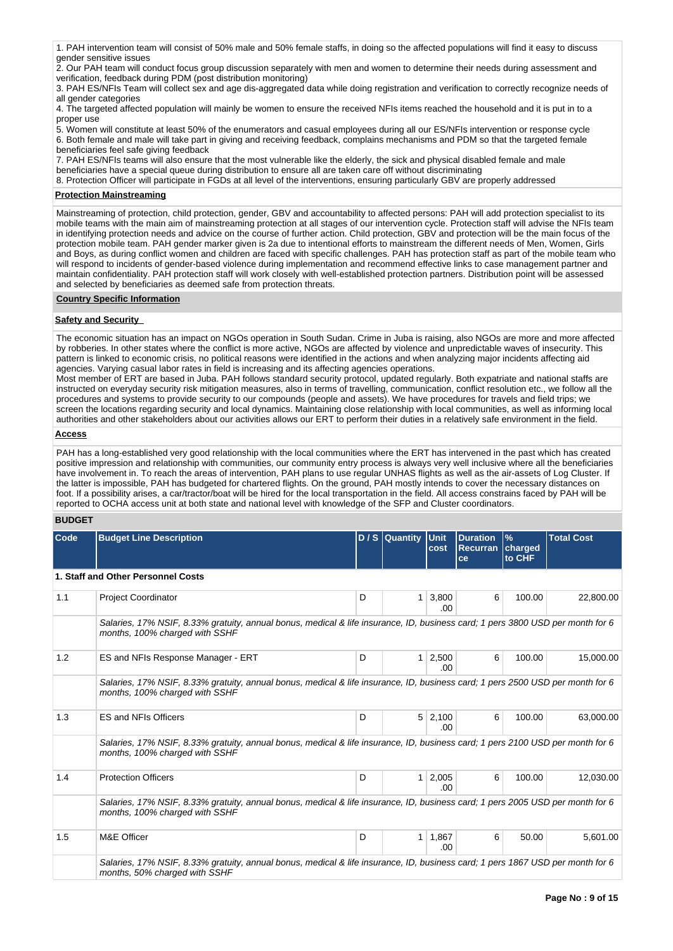1. PAH intervention team will consist of 50% male and 50% female staffs, in doing so the affected populations will find it easy to discuss gender sensitive issues

2. Our PAH team will conduct focus group discussion separately with men and women to determine their needs during assessment and verification, feedback during PDM (post distribution monitoring)

3. PAH ES/NFIs Team will collect sex and age dis-aggregated data while doing registration and verification to correctly recognize needs of all gender categories

4. The targeted affected population will mainly be women to ensure the received NFIs items reached the household and it is put in to a proper use

5. Women will constitute at least 50% of the enumerators and casual employees during all our ES/NFIs intervention or response cycle 6. Both female and male will take part in giving and receiving feedback, complains mechanisms and PDM so that the targeted female beneficiaries feel safe giving feedback

7. PAH ES/NFIs teams will also ensure that the most vulnerable like the elderly, the sick and physical disabled female and male beneficiaries have a special queue during distribution to ensure all are taken care off without discriminating

8. Protection Officer will participate in FGDs at all level of the interventions, ensuring particularly GBV are properly addressed

### **Protection Mainstreaming**

Mainstreaming of protection, child protection, gender, GBV and accountability to affected persons: PAH will add protection specialist to its mobile teams with the main aim of mainstreaming protection at all stages of our intervention cycle. Protection staff will advise the NFIs team in identifying protection needs and advice on the course of further action. Child protection, GBV and protection will be the main focus of the protection mobile team. PAH gender marker given is 2a due to intentional efforts to mainstream the different needs of Men, Women, Girls and Boys, as during conflict women and children are faced with specific challenges. PAH has protection staff as part of the mobile team who will respond to incidents of gender-based violence during implementation and recommend effective links to case management partner and maintain confidentiality. PAH protection staff will work closely with well-established protection partners. Distribution point will be assessed and selected by beneficiaries as deemed safe from protection threats.

### **Country Specific Information**

### **Safety and Security**

The economic situation has an impact on NGOs operation in South Sudan. Crime in Juba is raising, also NGOs are more and more affected by robberies. In other states where the conflict is more active, NGOs are affected by violence and unpredictable waves of insecurity. This pattern is linked to economic crisis, no political reasons were identified in the actions and when analyzing major incidents affecting aid agencies. Varying casual labor rates in field is increasing and its affecting agencies operations.

Most member of ERT are based in Juba. PAH follows standard security protocol, updated regularly. Both expatriate and national staffs are instructed on everyday security risk mitigation measures, also in terms of travelling, communication, conflict resolution etc., we follow all the procedures and systems to provide security to our compounds (people and assets). We have procedures for travels and field trips; we screen the locations regarding security and local dynamics. Maintaining close relationship with local communities, as well as informing local authorities and other stakeholders about our activities allows our ERT to perform their duties in a relatively safe environment in the field.

### **Access**

PAH has a long-established very good relationship with the local communities where the ERT has intervened in the past which has created positive impression and relationship with communities, our community entry process is always very well inclusive where all the beneficiaries have involvement in. To reach the areas of intervention, PAH plans to use regular UNHAS flights as well as the air-assets of Log Cluster. If the latter is impossible, PAH has budgeted for chartered flights. On the ground, PAH mostly intends to cover the necessary distances on foot. If a possibility arises, a car/tractor/boat will be hired for the local transportation in the field. All access constrains faced by PAH will be reported to OCHA access unit at both state and national level with knowledge of the SFP and Cluster coordinators.

# **BUDGET**

| Code | <b>Budget Line Description</b>                                                                                                                                   |                                                                                                                                | D / S Quantity Unit | cost         | <b>Duration</b><br><b>Recurran   charged</b><br>ce | $\frac{9}{6}$<br>to CHF | <b>Total Cost</b> |  |  |  |  |  |
|------|------------------------------------------------------------------------------------------------------------------------------------------------------------------|--------------------------------------------------------------------------------------------------------------------------------|---------------------|--------------|----------------------------------------------------|-------------------------|-------------------|--|--|--|--|--|
|      | 1. Staff and Other Personnel Costs                                                                                                                               |                                                                                                                                |                     |              |                                                    |                         |                   |  |  |  |  |  |
| 1.1  | <b>Project Coordinator</b>                                                                                                                                       | D                                                                                                                              | 1 <sup>1</sup>      | 3,800<br>.00 | 6                                                  | 100.00                  | 22,800.00         |  |  |  |  |  |
|      | months, 100% charged with SSHF                                                                                                                                   | Salaries, 17% NSIF, 8.33% gratuity, annual bonus, medical & life insurance, ID, business card; 1 pers 3800 USD per month for 6 |                     |              |                                                    |                         |                   |  |  |  |  |  |
| 1.2  | ES and NFIs Response Manager - ERT                                                                                                                               | D                                                                                                                              | $\mathbf{1}$        | 2,500<br>.00 | 6                                                  | 100.00                  | 15,000.00         |  |  |  |  |  |
|      | Salaries, 17% NSIF, 8.33% gratuity, annual bonus, medical & life insurance, ID, business card; 1 pers 2500 USD per month for 6<br>months, 100% charged with SSHF |                                                                                                                                |                     |              |                                                    |                         |                   |  |  |  |  |  |
| 1.3  | <b>ES and NFIs Officers</b>                                                                                                                                      | D                                                                                                                              | 5 <sup>1</sup>      | 2,100<br>.00 | 6                                                  | 100.00                  | 63,000.00         |  |  |  |  |  |
|      | Salaries, 17% NSIF, 8.33% gratuity, annual bonus, medical & life insurance, ID, business card; 1 pers 2100 USD per month for 6<br>months, 100% charged with SSHF |                                                                                                                                |                     |              |                                                    |                         |                   |  |  |  |  |  |
| 1.4  | <b>Protection Officers</b>                                                                                                                                       | D                                                                                                                              | 1 <sup>1</sup>      | 2,005<br>.00 | 6                                                  | 100.00                  | 12,030.00         |  |  |  |  |  |
|      | Salaries, 17% NSIF, 8.33% gratuity, annual bonus, medical & life insurance, ID, business card; 1 pers 2005 USD per month for 6<br>months, 100% charged with SSHF |                                                                                                                                |                     |              |                                                    |                         |                   |  |  |  |  |  |
| 1.5  | M&E Officer                                                                                                                                                      | D                                                                                                                              | 1 <sup>1</sup>      | 1,867<br>.00 | 6                                                  | 50.00                   | 5,601.00          |  |  |  |  |  |
|      | Salaries, 17% NSIF, 8.33% gratuity, annual bonus, medical & life insurance, ID, business card; 1 pers 1867 USD per month for 6<br>months, 50% charged with SSHF  |                                                                                                                                |                     |              |                                                    |                         |                   |  |  |  |  |  |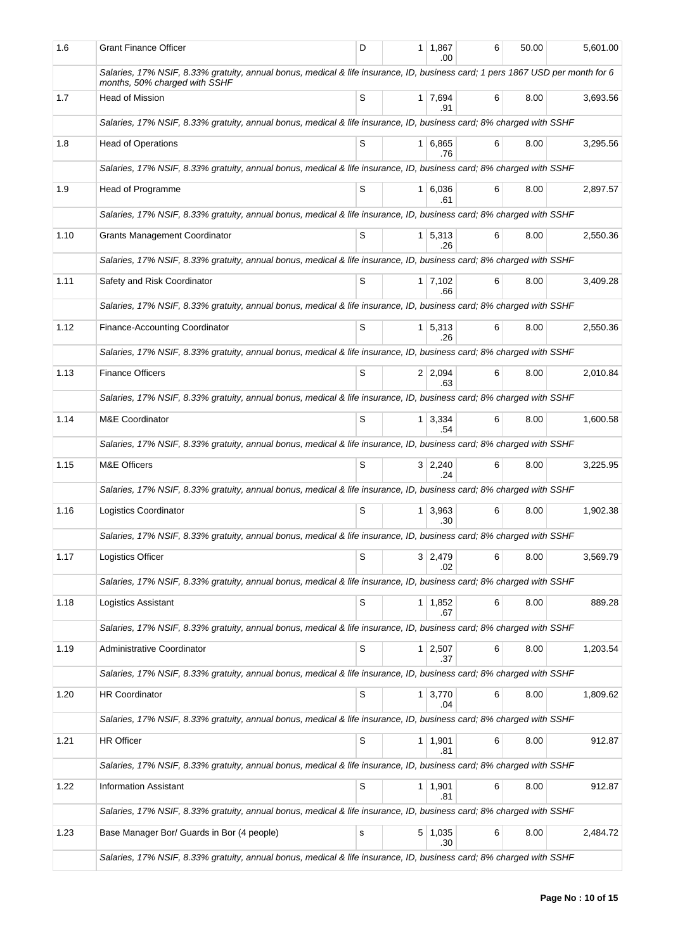| 1.6  | <b>Grant Finance Officer</b>                                                                                                                                    | D | 1 1,867<br>.00        | 6 | 50.00 | 5,601.00 |
|------|-----------------------------------------------------------------------------------------------------------------------------------------------------------------|---|-----------------------|---|-------|----------|
|      | Salaries, 17% NSIF, 8.33% gratuity, annual bonus, medical & life insurance, ID, business card; 1 pers 1867 USD per month for 6<br>months, 50% charged with SSHF |   |                       |   |       |          |
| 1.7  | <b>Head of Mission</b>                                                                                                                                          | S | $1 \mid 7,694$<br>.91 | 6 | 8.00  | 3,693.56 |
|      | Salaries, 17% NSIF, 8.33% gratuity, annual bonus, medical & life insurance, ID, business card; 8% charged with SSHF                                             |   |                       |   |       |          |
| 1.8  | <b>Head of Operations</b>                                                                                                                                       | S | 1 6,865<br>.76        | 6 | 8.00  | 3,295.56 |
|      | Salaries, 17% NSIF, 8.33% gratuity, annual bonus, medical & life insurance, ID, business card; 8% charged with SSHF                                             |   |                       |   |       |          |
| 1.9  | Head of Programme                                                                                                                                               | S | 1 6,036<br>.61        | 6 | 8.00  | 2.897.57 |
|      | Salaries, 17% NSIF, 8.33% gratuity, annual bonus, medical & life insurance, ID, business card; 8% charged with SSHF                                             |   |                       |   |       |          |
| 1.10 | <b>Grants Management Coordinator</b>                                                                                                                            | S | 1 5,313<br>.26        | 6 | 8.00  | 2,550.36 |
|      | Salaries, 17% NSIF, 8.33% gratuity, annual bonus, medical & life insurance, ID, business card; 8% charged with SSHF                                             |   |                       |   |       |          |
| 1.11 | Safety and Risk Coordinator                                                                                                                                     | S | $1 \mid 7,102$<br>.66 | 6 | 8.00  | 3,409.28 |
|      | Salaries, 17% NSIF, 8.33% gratuity, annual bonus, medical & life insurance, ID, business card; 8% charged with SSHF                                             |   |                       |   |       |          |
| 1.12 | Finance-Accounting Coordinator                                                                                                                                  | S | $1 \mid 5,313$<br>.26 | 6 | 8.00  | 2,550.36 |
|      | Salaries, 17% NSIF, 8.33% gratuity, annual bonus, medical & life insurance, ID, business card; 8% charged with SSHF                                             |   |                       |   |       |          |
| 1.13 | <b>Finance Officers</b>                                                                                                                                         | S | 2 2,094<br>.63        | 6 | 8.00  | 2,010.84 |
|      | Salaries, 17% NSIF, 8.33% gratuity, annual bonus, medical & life insurance, ID, business card; 8% charged with SSHF                                             |   |                       |   |       |          |
| 1.14 | <b>M&amp;E Coordinator</b>                                                                                                                                      | S | $1 \mid 3,334$<br>.54 | 6 | 8.00  | 1,600.58 |
|      | Salaries, 17% NSIF, 8.33% gratuity, annual bonus, medical & life insurance, ID, business card; 8% charged with SSHF                                             |   |                       |   |       |          |
| 1.15 | M&E Officers                                                                                                                                                    | S | $3 \mid 2,240$<br>.24 | 6 | 8.00  | 3,225.95 |
|      | Salaries, 17% NSIF, 8.33% gratuity, annual bonus, medical & life insurance, ID, business card; 8% charged with SSHF                                             |   |                       |   |       |          |
| 1.16 | Logistics Coordinator                                                                                                                                           | S | $1 \mid 3.963$<br>.30 | 6 | 8.00  | 1,902.38 |
|      | Salaries, 17% NSIF, 8.33% gratuity, annual bonus, medical & life insurance, ID, business card; 8% charged with SSHF                                             |   |                       |   |       |          |
| 1.17 | Logistics Officer                                                                                                                                               | S | 3 2,479<br>.02        | 6 | 8.00  | 3,569.79 |
|      | Salaries, 17% NSIF, 8.33% gratuity, annual bonus, medical & life insurance, ID, business card; 8% charged with SSHF                                             |   |                       |   |       |          |
| 1.18 | <b>Logistics Assistant</b>                                                                                                                                      | S | $1 \mid 1,852$<br>.67 | 6 | 8.00  | 889.28   |
|      | Salaries, 17% NSIF, 8.33% gratuity, annual bonus, medical & life insurance, ID, business card; 8% charged with SSHF                                             |   |                       |   |       |          |
| 1.19 | Administrative Coordinator                                                                                                                                      | S | $1 \mid 2,507$<br>.37 | 6 | 8.00  | 1,203.54 |
|      | Salaries, 17% NSIF, 8.33% gratuity, annual bonus, medical & life insurance, ID, business card; 8% charged with SSHF                                             |   |                       |   |       |          |
| 1.20 | HR Coordinator                                                                                                                                                  | S | $1 \mid 3,770$<br>.04 | 6 | 8.00  | 1,809.62 |
|      | Salaries, 17% NSIF, 8.33% gratuity, annual bonus, medical & life insurance, ID, business card; 8% charged with SSHF                                             |   |                       |   |       |          |
| 1.21 | <b>HR Officer</b>                                                                                                                                               | S | 1   1,901<br>.81      | 6 | 8.00  | 912.87   |
|      | Salaries, 17% NSIF, 8.33% gratuity, annual bonus, medical & life insurance, ID, business card; 8% charged with SSHF                                             |   |                       |   |       |          |
| 1.22 | <b>Information Assistant</b>                                                                                                                                    | S | 1   1,901<br>.81      | 6 | 8.00  | 912.87   |
|      | Salaries, 17% NSIF, 8.33% gratuity, annual bonus, medical & life insurance, ID, business card; 8% charged with SSHF                                             |   |                       |   |       |          |
| 1.23 | Base Manager Bor/ Guards in Bor (4 people)                                                                                                                      | s | $5 \mid 1,035$<br>.30 | 6 | 8.00  | 2,484.72 |
|      | Salaries, 17% NSIF, 8.33% gratuity, annual bonus, medical & life insurance, ID, business card; 8% charged with SSHF                                             |   |                       |   |       |          |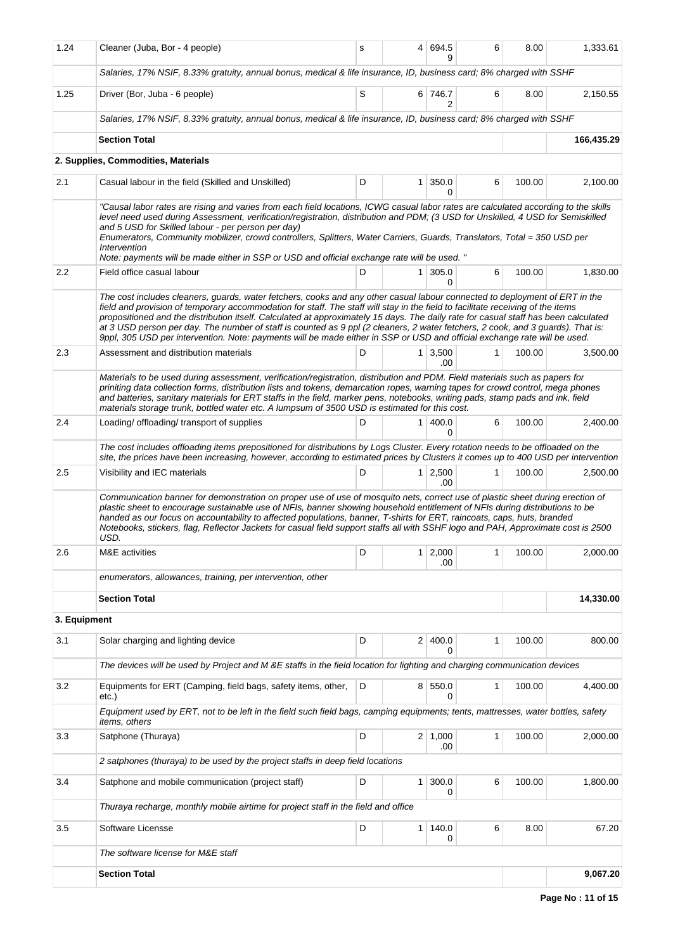| 1.24         | Cleaner (Juba, Bor - 4 people)                                                                                                                                                                                                                                                                                                                                                                                                                                                                                                                                                                                                                                        | s | $\overline{4}$ | 694.5<br>я             | 6            | 8.00   | 1,333.61   |  |  |  |
|--------------|-----------------------------------------------------------------------------------------------------------------------------------------------------------------------------------------------------------------------------------------------------------------------------------------------------------------------------------------------------------------------------------------------------------------------------------------------------------------------------------------------------------------------------------------------------------------------------------------------------------------------------------------------------------------------|---|----------------|------------------------|--------------|--------|------------|--|--|--|
|              | Salaries, 17% NSIF, 8.33% gratuity, annual bonus, medical & life insurance, ID, business card; 8% charged with SSHF                                                                                                                                                                                                                                                                                                                                                                                                                                                                                                                                                   |   |                |                        |              |        |            |  |  |  |
| 1.25         | Driver (Bor, Juba - 6 people)                                                                                                                                                                                                                                                                                                                                                                                                                                                                                                                                                                                                                                         | S |                | 6 746.7<br>2           | 6            | 8.00   | 2,150.55   |  |  |  |
|              | Salaries, 17% NSIF, 8.33% gratuity, annual bonus, medical & life insurance, ID, business card; 8% charged with SSHF                                                                                                                                                                                                                                                                                                                                                                                                                                                                                                                                                   |   |                |                        |              |        |            |  |  |  |
|              | <b>Section Total</b>                                                                                                                                                                                                                                                                                                                                                                                                                                                                                                                                                                                                                                                  |   |                |                        |              |        | 166,435.29 |  |  |  |
|              | 2. Supplies, Commodities, Materials                                                                                                                                                                                                                                                                                                                                                                                                                                                                                                                                                                                                                                   |   |                |                        |              |        |            |  |  |  |
| 2.1          | Casual labour in the field (Skilled and Unskilled)                                                                                                                                                                                                                                                                                                                                                                                                                                                                                                                                                                                                                    | 6 | 100.00         | 2,100.00               |              |        |            |  |  |  |
|              | "Causal labor rates are rising and varies from each field locations, ICWG casual labor rates are calculated according to the skills<br>level need used during Assessment, verification/registration, distribution and PDM; (3 USD for Unskilled, 4 USD for Semiskilled<br>and 5 USD for Skilled labour - per person per day)<br>Enumerators, Community mobilizer, crowd controllers, Splitters, Water Carriers, Guards, Translators, Total = 350 USD per<br>Intervention<br>Note: payments will be made either in SSP or USD and official exchange rate will be used. "                                                                                               |   |                |                        |              |        |            |  |  |  |
| 2.2          | Field office casual labour                                                                                                                                                                                                                                                                                                                                                                                                                                                                                                                                                                                                                                            | D | 1 <sup>1</sup> | 305.0<br>0             | 6            | 100.00 | 1,830.00   |  |  |  |
|              | The cost includes cleaners, guards, water fetchers, cooks and any other casual labour connected to deployment of ERT in the<br>field and provision of temporary accommodation for staff. The staff will stay in the field to facilitate receiving of the items<br>propositioned and the distribution itself. Calculated at approximately 15 days. The daily rate for casual staff has been calculated<br>at 3 USD person per day. The number of staff is counted as 9 ppl (2 cleaners, 2 water fetchers, 2 cook, and 3 guards). That is:<br>9ppl, 305 USD per intervention. Note: payments will be made either in SSP or USD and official exchange rate will be used. |   |                |                        |              |        |            |  |  |  |
| 2.3          | Assessment and distribution materials                                                                                                                                                                                                                                                                                                                                                                                                                                                                                                                                                                                                                                 | D |                | $1 \mid 3,500$<br>.00  | 1            | 100.00 | 3,500.00   |  |  |  |
|              | Materials to be used during assessment, verification/registration, distribution and PDM. Field materials such as papers for<br>priniting data collection forms, distribution lists and tokens, demarcation ropes, warning tapes for crowd control, mega phones<br>and batteries, sanitary materials for ERT staffs in the field, marker pens, notebooks, writing pads, stamp pads and ink, field<br>materials storage trunk, bottled water etc. A lumpsum of 3500 USD is estimated for this cost.                                                                                                                                                                     |   |                |                        |              |        |            |  |  |  |
| 2.4          | Loading/ offloading/ transport of supplies                                                                                                                                                                                                                                                                                                                                                                                                                                                                                                                                                                                                                            | D | $\mathbf{1}$   | 400.0<br>0             | 6            | 100.00 | 2,400.00   |  |  |  |
|              | The cost includes offloading items prepositioned for distributions by Logs Cluster. Every rotation needs to be offloaded on the<br>site, the prices have been increasing, however, according to estimated prices by Clusters it comes up to 400 USD per intervention                                                                                                                                                                                                                                                                                                                                                                                                  |   |                |                        |              |        |            |  |  |  |
| 2.5          | Visibility and IEC materials                                                                                                                                                                                                                                                                                                                                                                                                                                                                                                                                                                                                                                          | D |                | $1 \mid 2,500$<br>.00. | $\mathbf{1}$ | 100.00 | 2,500.00   |  |  |  |
|              | Communication banner for demonstration on proper use of use of mosquito nets, correct use of plastic sheet during erection of<br>plastic sheet to encourage sustainable use of NFIs, banner showing household entitlement of NFIs during distributions to be<br>handed as our focus on accountability to affected populations, banner, T-shirts for ERT, raincoats, caps, huts, branded<br>Notebooks, stickers, flag, Reflector Jackets for casual field support staffs all with SSHF logo and PAH, Approximate cost is 2500<br>USD.                                                                                                                                  |   |                |                        |              |        |            |  |  |  |
| 2.6          | M&E activities                                                                                                                                                                                                                                                                                                                                                                                                                                                                                                                                                                                                                                                        | D | 1              | 2,000<br>.00           | $\mathbf{1}$ | 100.00 | 2,000.00   |  |  |  |
|              | enumerators, allowances, training, per intervention, other                                                                                                                                                                                                                                                                                                                                                                                                                                                                                                                                                                                                            |   |                |                        |              |        |            |  |  |  |
|              | <b>Section Total</b>                                                                                                                                                                                                                                                                                                                                                                                                                                                                                                                                                                                                                                                  |   |                |                        |              |        | 14,330.00  |  |  |  |
| 3. Equipment |                                                                                                                                                                                                                                                                                                                                                                                                                                                                                                                                                                                                                                                                       |   |                |                        |              |        |            |  |  |  |
| 3.1          | Solar charging and lighting device                                                                                                                                                                                                                                                                                                                                                                                                                                                                                                                                                                                                                                    | D |                | 2 400.0                | $\mathbf{1}$ | 100.00 | 800.00     |  |  |  |
|              | The devices will be used by Project and M &E staffs in the field location for lighting and charging communication devices                                                                                                                                                                                                                                                                                                                                                                                                                                                                                                                                             |   |                |                        |              |        |            |  |  |  |
| 3.2          | Equipments for ERT (Camping, field bags, safety items, other,<br>etc.)                                                                                                                                                                                                                                                                                                                                                                                                                                                                                                                                                                                                | D |                | 8 550.0<br>0           | $\mathbf{1}$ | 100.00 | 4,400.00   |  |  |  |
|              | Equipment used by ERT, not to be left in the field such field bags, camping equipments; tents, mattresses, water bottles, safety<br>items, others                                                                                                                                                                                                                                                                                                                                                                                                                                                                                                                     |   |                |                        |              |        |            |  |  |  |
| 3.3          | Satphone (Thuraya)                                                                                                                                                                                                                                                                                                                                                                                                                                                                                                                                                                                                                                                    | D |                | $2 \mid 1,000$<br>.00  | 1            | 100.00 | 2,000.00   |  |  |  |
|              | 2 satphones (thuraya) to be used by the project staffs in deep field locations                                                                                                                                                                                                                                                                                                                                                                                                                                                                                                                                                                                        |   |                |                        |              |        |            |  |  |  |
| 3.4          | Satphone and mobile communication (project staff)                                                                                                                                                                                                                                                                                                                                                                                                                                                                                                                                                                                                                     | D | $\mathbf{1}$   | 300.0<br>0             | 6            | 100.00 | 1,800.00   |  |  |  |
|              | Thuraya recharge, monthly mobile airtime for project staff in the field and office                                                                                                                                                                                                                                                                                                                                                                                                                                                                                                                                                                                    |   |                |                        |              |        |            |  |  |  |
| 3.5          | Software Licensse                                                                                                                                                                                                                                                                                                                                                                                                                                                                                                                                                                                                                                                     | D | 1              | 140.0<br>0             | 6            | 8.00   | 67.20      |  |  |  |
|              | The software license for M&E staff                                                                                                                                                                                                                                                                                                                                                                                                                                                                                                                                                                                                                                    |   |                |                        |              |        |            |  |  |  |
|              | <b>Section Total</b>                                                                                                                                                                                                                                                                                                                                                                                                                                                                                                                                                                                                                                                  |   |                |                        |              |        | 9,067.20   |  |  |  |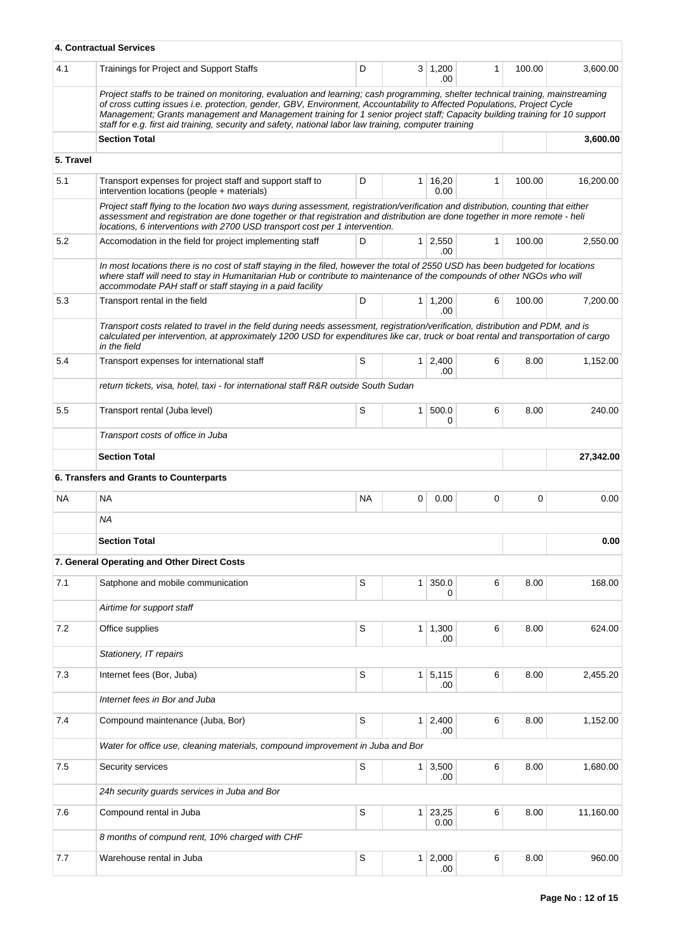|           | 4. Contractual Services                                                                                                                                                                                                                                                                                                                                                                                                                                                                               |             |                |                       |              |        |           |
|-----------|-------------------------------------------------------------------------------------------------------------------------------------------------------------------------------------------------------------------------------------------------------------------------------------------------------------------------------------------------------------------------------------------------------------------------------------------------------------------------------------------------------|-------------|----------------|-----------------------|--------------|--------|-----------|
| 4.1       | Trainings for Project and Support Staffs                                                                                                                                                                                                                                                                                                                                                                                                                                                              | D           |                | $3 \mid 1,200$<br>.00 | 1            | 100.00 | 3,600.00  |
|           | Project staffs to be trained on monitoring, evaluation and learning; cash programming, shelter technical training, mainstreaming<br>of cross cutting issues i.e. protection, gender, GBV, Environment, Accountability to Affected Populations, Project Cycle<br>Management; Grants management and Management training for 1 senior project staff; Capacity building training for 10 support<br>staff for e.g. first aid training, security and safety, national labor law training, computer training |             |                |                       |              |        |           |
|           | <b>Section Total</b>                                                                                                                                                                                                                                                                                                                                                                                                                                                                                  |             |                |                       |              |        | 3,600.00  |
| 5. Travel |                                                                                                                                                                                                                                                                                                                                                                                                                                                                                                       |             |                |                       |              |        |           |
| 5.1       | Transport expenses for project staff and support staff to                                                                                                                                                                                                                                                                                                                                                                                                                                             | D           |                | $1 \mid 16,20$        | 1            | 100.00 | 16,200.00 |
|           | intervention locations (people + materials)                                                                                                                                                                                                                                                                                                                                                                                                                                                           |             |                | 0.00                  |              |        |           |
|           | Project staff flying to the location two ways during assessment, registration/verification and distribution, counting that either<br>assessment and registration are done together or that registration and distribution are done together in more remote - heli<br>locations, 6 interventions with 2700 USD transport cost per 1 intervention.                                                                                                                                                       |             |                |                       |              |        |           |
| 5.2       | Accomodation in the field for project implementing staff                                                                                                                                                                                                                                                                                                                                                                                                                                              | D           |                | $1 \mid 2,550$<br>.00 | $\mathbf{1}$ | 100.00 | 2,550.00  |
|           | In most locations there is no cost of staff staying in the filed, however the total of 2550 USD has been budgeted for locations<br>where staff will need to stay in Humanitarian Hub or contribute to maintenance of the compounds of other NGOs who will<br>accommodate PAH staff or staff staying in a paid facility                                                                                                                                                                                |             |                |                       |              |        |           |
| 5.3       | Transport rental in the field                                                                                                                                                                                                                                                                                                                                                                                                                                                                         | D           |                | 1 1,200<br>.00        | 6            | 100.00 | 7,200.00  |
|           | Transport costs related to travel in the field during needs assessment, registration/verification, distribution and PDM, and is<br>calculated per intervention, at approximately 1200 USD for expenditures like car, truck or boat rental and transportation of cargo<br>in the field                                                                                                                                                                                                                 |             |                |                       |              |        |           |
| 5.4       | Transport expenses for international staff                                                                                                                                                                                                                                                                                                                                                                                                                                                            | S           | 1 <sup>1</sup> | 2,400<br>.00          | 6            | 8.00   | 1,152.00  |
|           | return tickets, visa, hotel, taxi - for international staff R&R outside South Sudan                                                                                                                                                                                                                                                                                                                                                                                                                   |             |                |                       |              |        |           |
| 5.5       | Transport rental (Juba level)                                                                                                                                                                                                                                                                                                                                                                                                                                                                         | S           | 1              | 500.0<br>0            | 6            | 8.00   | 240.00    |
|           | Transport costs of office in Juba                                                                                                                                                                                                                                                                                                                                                                                                                                                                     |             |                |                       |              |        |           |
|           | <b>Section Total</b>                                                                                                                                                                                                                                                                                                                                                                                                                                                                                  |             |                |                       |              |        | 27,342.00 |
|           | 6. Transfers and Grants to Counterparts                                                                                                                                                                                                                                                                                                                                                                                                                                                               |             |                |                       |              |        |           |
| <b>NA</b> | <b>NA</b>                                                                                                                                                                                                                                                                                                                                                                                                                                                                                             | NA          | 0              | 0.00                  | 0            | 0      | 0.00      |
|           | ΝA                                                                                                                                                                                                                                                                                                                                                                                                                                                                                                    |             |                |                       |              |        |           |
|           | <b>Section Total</b>                                                                                                                                                                                                                                                                                                                                                                                                                                                                                  |             |                |                       |              |        | 0.00      |
|           | 7. General Operating and Other Direct Costs                                                                                                                                                                                                                                                                                                                                                                                                                                                           |             |                |                       |              |        |           |
| 7.1       | Satphone and mobile communication                                                                                                                                                                                                                                                                                                                                                                                                                                                                     | S           | $\mathbf{1}$   | 350.0                 | 6            | 8.00   | 168.00    |
|           |                                                                                                                                                                                                                                                                                                                                                                                                                                                                                                       |             |                | 0                     |              |        |           |
|           | Airtime for support staff                                                                                                                                                                                                                                                                                                                                                                                                                                                                             |             |                |                       |              |        |           |
| 7.2       | Office supplies                                                                                                                                                                                                                                                                                                                                                                                                                                                                                       | S           |                | $1 \mid 1,300$<br>.00 | 6            | 8.00   | 624.00    |
|           | Stationery, IT repairs                                                                                                                                                                                                                                                                                                                                                                                                                                                                                |             |                |                       |              |        |           |
| 7.3       | Internet fees (Bor, Juba)                                                                                                                                                                                                                                                                                                                                                                                                                                                                             | S           | $\mathbf{1}$   | 5,115<br>.00          | 6            | 8.00   | 2,455.20  |
|           | Internet fees in Bor and Juba                                                                                                                                                                                                                                                                                                                                                                                                                                                                         |             |                |                       |              |        |           |
| 7.4       | Compound maintenance (Juba, Bor)                                                                                                                                                                                                                                                                                                                                                                                                                                                                      | S           | 1              | 2,400<br>.00          | 6            | 8.00   | 1,152.00  |
|           | Water for office use, cleaning materials, compound improvement in Juba and Bor                                                                                                                                                                                                                                                                                                                                                                                                                        |             |                |                       |              |        |           |
| 7.5       | Security services                                                                                                                                                                                                                                                                                                                                                                                                                                                                                     | S           | 1              | 3,500<br>.00          | 6            | 8.00   | 1,680.00  |
|           | 24h security guards services in Juba and Bor                                                                                                                                                                                                                                                                                                                                                                                                                                                          |             |                |                       |              |        |           |
| 7.6       | Compound rental in Juba                                                                                                                                                                                                                                                                                                                                                                                                                                                                               | $\mathbb S$ | 1              | 23,25<br>0.00         | 6            | 8.00   | 11,160.00 |
|           | 8 months of compund rent, 10% charged with CHF                                                                                                                                                                                                                                                                                                                                                                                                                                                        |             |                |                       |              |        |           |
| 7.7       | Warehouse rental in Juba                                                                                                                                                                                                                                                                                                                                                                                                                                                                              | S           | $\mathbf{1}$   | 2,000<br>.00          | 6            | 8.00   | 960.00    |
|           |                                                                                                                                                                                                                                                                                                                                                                                                                                                                                                       |             |                |                       |              |        |           |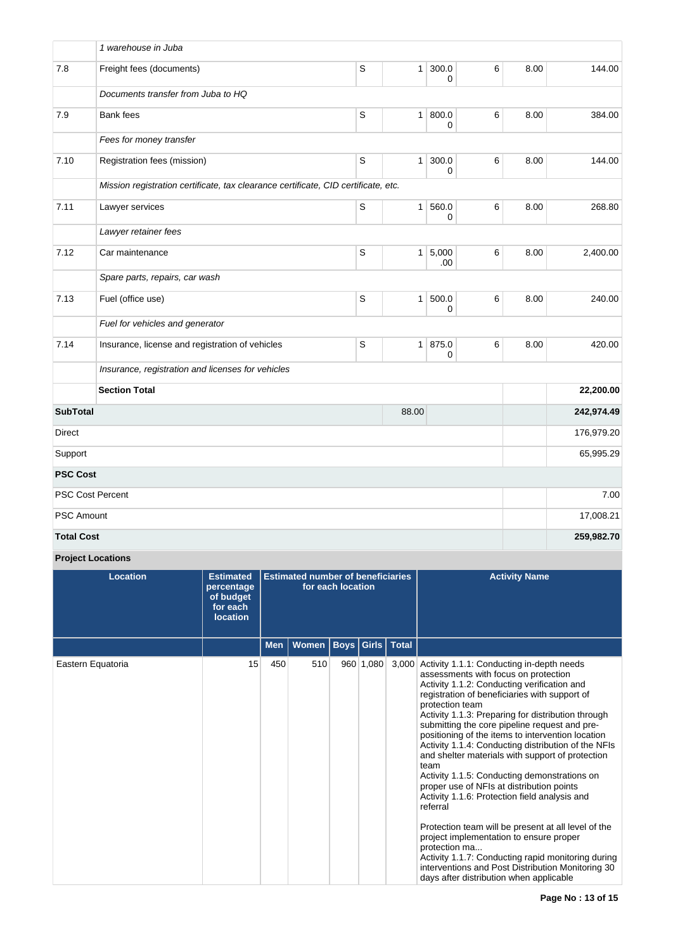|                   | 1 warehouse in Juba                                                                |             |                |                       |   |      |            |
|-------------------|------------------------------------------------------------------------------------|-------------|----------------|-----------------------|---|------|------------|
| 7.8               | Freight fees (documents)                                                           | $\mathbb S$ | 1              | 300.0<br>$\Omega$     | 6 | 8.00 | 144.00     |
|                   | Documents transfer from Juba to HQ                                                 |             |                |                       |   |      |            |
| 7.9               | <b>Bank</b> fees                                                                   | $\mathbb S$ |                | 1   800.0<br>$\Omega$ | 6 | 8.00 | 384.00     |
|                   | Fees for money transfer                                                            |             |                |                       |   |      |            |
| 7.10              | Registration fees (mission)                                                        | $\mathsf S$ | 1 <sup>1</sup> | 300.0<br>0            | 6 | 8.00 | 144.00     |
|                   | Mission registration certificate, tax clearance certificate, CID certificate, etc. |             |                |                       |   |      |            |
| 7.11              | Lawyer services                                                                    | S           | 1 <sup>1</sup> | 560.0<br>$\Omega$     | 6 | 8.00 | 268.80     |
|                   | Lawyer retainer fees                                                               |             |                |                       |   |      |            |
| 7.12              | Car maintenance                                                                    | $\mathsf S$ |                | 1 5,000<br>.00        | 6 | 8.00 | 2,400.00   |
|                   | Spare parts, repairs, car wash                                                     |             |                |                       |   |      |            |
| 7.13              | Fuel (office use)                                                                  | $\mathbb S$ | 1              | 500.0<br>0            | 6 | 8.00 | 240.00     |
|                   | Fuel for vehicles and generator                                                    |             |                |                       |   |      |            |
| 7.14              | Insurance, license and registration of vehicles                                    | $\mathbb S$ |                | 1   875.0<br>$\Omega$ | 6 | 8.00 | 420.00     |
|                   | Insurance, registration and licenses for vehicles                                  |             |                |                       |   |      |            |
|                   | <b>Section Total</b>                                                               |             |                |                       |   |      | 22,200.00  |
| <b>SubTotal</b>   |                                                                                    | 242,974.49  |                |                       |   |      |            |
| Direct            |                                                                                    | 176,979.20  |                |                       |   |      |            |
| Support           |                                                                                    | 65,995.29   |                |                       |   |      |            |
| <b>PSC Cost</b>   |                                                                                    |             |                |                       |   |      |            |
|                   | <b>PSC Cost Percent</b>                                                            |             |                |                       |   |      | 7.00       |
| <b>PSC Amount</b> |                                                                                    |             |                |                       |   |      | 17,008.21  |
| <b>Total Cost</b> |                                                                                    |             |                |                       |   |      | 259,982.70 |

# **Project Locations**

| <b>Location</b>   | <b>Estimated</b><br>percentage<br>of budget<br>for each<br><b>location</b> |            | <b>Estimated number of beneficiaries</b> | for each location |              |              | <b>Activity Name</b>                                                                                                                                                                                                                                                                                                                                                                                                                                                                                                                                                                                                                                                                                                                                                                                                                                                                                                         |
|-------------------|----------------------------------------------------------------------------|------------|------------------------------------------|-------------------|--------------|--------------|------------------------------------------------------------------------------------------------------------------------------------------------------------------------------------------------------------------------------------------------------------------------------------------------------------------------------------------------------------------------------------------------------------------------------------------------------------------------------------------------------------------------------------------------------------------------------------------------------------------------------------------------------------------------------------------------------------------------------------------------------------------------------------------------------------------------------------------------------------------------------------------------------------------------------|
|                   |                                                                            | <b>Men</b> | Women                                    |                   | Boys   Girls | <b>Total</b> |                                                                                                                                                                                                                                                                                                                                                                                                                                                                                                                                                                                                                                                                                                                                                                                                                                                                                                                              |
| Eastern Equatoria | 15                                                                         | 450        | 510                                      |                   | 960 1,080    |              | 3,000 Activity 1.1.1: Conducting in-depth needs<br>assessments with focus on protection<br>Activity 1.1.2: Conducting verification and<br>registration of beneficiaries with support of<br>protection team<br>Activity 1.1.3: Preparing for distribution through<br>submitting the core pipeline request and pre-<br>positioning of the items to intervention location<br>Activity 1.1.4: Conducting distribution of the NFIs<br>and shelter materials with support of protection<br>team<br>Activity 1.1.5: Conducting demonstrations on<br>proper use of NFIs at distribution points<br>Activity 1.1.6: Protection field analysis and<br>referral<br>Protection team will be present at all level of the<br>project implementation to ensure proper<br>protection ma<br>Activity 1.1.7: Conducting rapid monitoring during<br>interventions and Post Distribution Monitoring 30<br>days after distribution when applicable |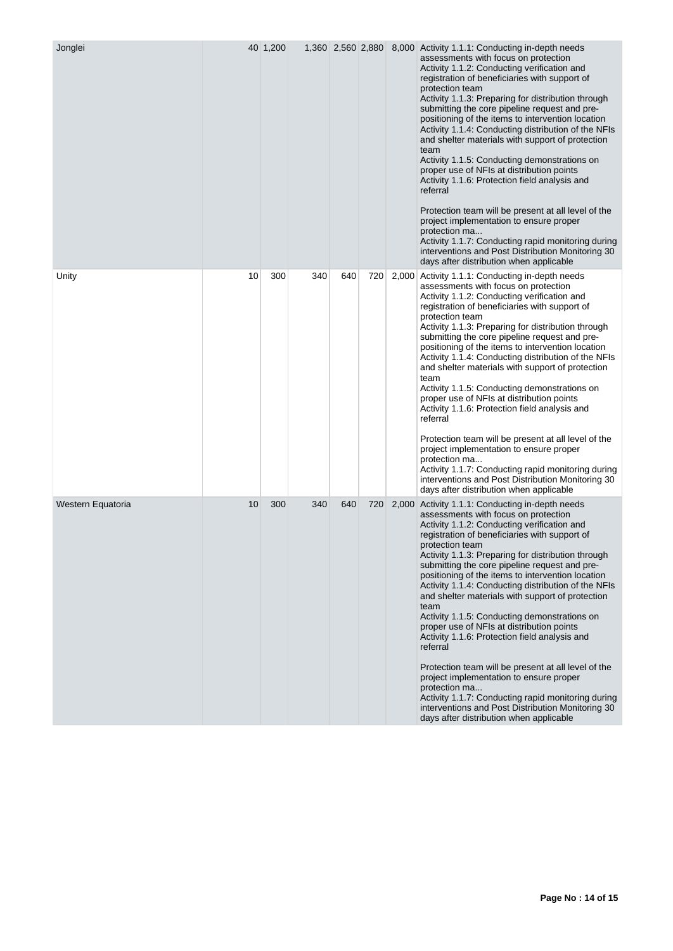| Jonglei           |    | 40 1,200 |     |     |     | 1,360 2,560 2,880 8,000 Activity 1.1.1: Conducting in-depth needs<br>assessments with focus on protection<br>Activity 1.1.2: Conducting verification and<br>registration of beneficiaries with support of<br>protection team<br>Activity 1.1.3: Preparing for distribution through<br>submitting the core pipeline request and pre-<br>positioning of the items to intervention location<br>Activity 1.1.4: Conducting distribution of the NFIs<br>and shelter materials with support of protection<br>team<br>Activity 1.1.5: Conducting demonstrations on<br>proper use of NFIs at distribution points<br>Activity 1.1.6: Protection field analysis and<br>referral<br>Protection team will be present at all level of the<br>project implementation to ensure proper<br>protection ma<br>Activity 1.1.7: Conducting rapid monitoring during<br>interventions and Post Distribution Monitoring 30<br>days after distribution when applicable |
|-------------------|----|----------|-----|-----|-----|------------------------------------------------------------------------------------------------------------------------------------------------------------------------------------------------------------------------------------------------------------------------------------------------------------------------------------------------------------------------------------------------------------------------------------------------------------------------------------------------------------------------------------------------------------------------------------------------------------------------------------------------------------------------------------------------------------------------------------------------------------------------------------------------------------------------------------------------------------------------------------------------------------------------------------------------|
| Unity             | 10 | 300      | 340 | 640 | 720 | 2,000 Activity 1.1.1: Conducting in-depth needs<br>assessments with focus on protection<br>Activity 1.1.2: Conducting verification and<br>registration of beneficiaries with support of<br>protection team<br>Activity 1.1.3: Preparing for distribution through<br>submitting the core pipeline request and pre-<br>positioning of the items to intervention location<br>Activity 1.1.4: Conducting distribution of the NFIs<br>and shelter materials with support of protection<br>team<br>Activity 1.1.5: Conducting demonstrations on<br>proper use of NFIs at distribution points<br>Activity 1.1.6: Protection field analysis and<br>referral<br>Protection team will be present at all level of the<br>project implementation to ensure proper<br>protection ma<br>Activity 1.1.7: Conducting rapid monitoring during<br>interventions and Post Distribution Monitoring 30<br>days after distribution when applicable                   |
| Western Equatoria | 10 | 300      | 340 | 640 | 720 | 2,000 Activity 1.1.1: Conducting in-depth needs<br>assessments with focus on protection<br>Activity 1.1.2: Conducting verification and<br>registration of beneficiaries with support of<br>protection team<br>Activity 1.1.3: Preparing for distribution through<br>submitting the core pipeline request and pre-<br>positioning of the items to intervention location<br>Activity 1.1.4: Conducting distribution of the NFIs<br>and shelter materials with support of protection<br>team<br>Activity 1.1.5: Conducting demonstrations on<br>proper use of NFIs at distribution points<br>Activity 1.1.6: Protection field analysis and<br>referral<br>Protection team will be present at all level of the<br>project implementation to ensure proper<br>protection ma<br>Activity 1.1.7: Conducting rapid monitoring during<br>interventions and Post Distribution Monitoring 30<br>days after distribution when applicable                   |